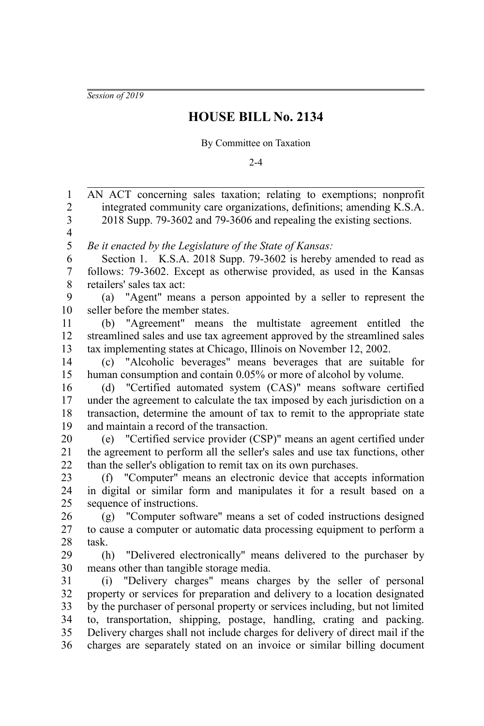*Session of 2019*

## **HOUSE BILL No. 2134**

## By Committee on Taxation

 $2 - 4$ 

AN ACT concerning sales taxation; relating to exemptions; nonprofit integrated community care organizations, definitions; amending K.S.A. 2018 Supp. 79-3602 and 79-3606 and repealing the existing sections. *Be it enacted by the Legislature of the State of Kansas:* Section 1. K.S.A. 2018 Supp. 79-3602 is hereby amended to read as follows: 79-3602. Except as otherwise provided, as used in the Kansas retailers' sales tax act: (a) "Agent" means a person appointed by a seller to represent the seller before the member states. (b) "Agreement" means the multistate agreement entitled the streamlined sales and use tax agreement approved by the streamlined sales tax implementing states at Chicago, Illinois on November 12, 2002. (c) "Alcoholic beverages" means beverages that are suitable for human consumption and contain 0.05% or more of alcohol by volume. (d) "Certified automated system (CAS)" means software certified under the agreement to calculate the tax imposed by each jurisdiction on a transaction, determine the amount of tax to remit to the appropriate state and maintain a record of the transaction. (e) "Certified service provider (CSP)" means an agent certified under the agreement to perform all the seller's sales and use tax functions, other than the seller's obligation to remit tax on its own purchases. (f) "Computer" means an electronic device that accepts information in digital or similar form and manipulates it for a result based on a sequence of instructions. (g) "Computer software" means a set of coded instructions designed to cause a computer or automatic data processing equipment to perform a task. (h) "Delivered electronically" means delivered to the purchaser by means other than tangible storage media. (i) "Delivery charges" means charges by the seller of personal property or services for preparation and delivery to a location designated by the purchaser of personal property or services including, but not limited to, transportation, shipping, postage, handling, crating and packing. Delivery charges shall not include charges for delivery of direct mail if the charges are separately stated on an invoice or similar billing document 1 2 3 4 5 6 7 8 9 10 11 12 13 14 15 16 17 18 19 20 21 22 23 24 25 26 27 28 29 30 31 32 33 34 35 36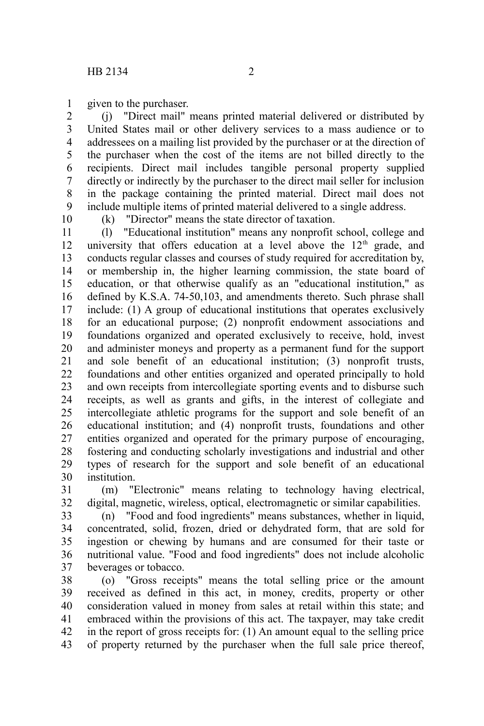given to the purchaser. 1

(j) "Direct mail" means printed material delivered or distributed by United States mail or other delivery services to a mass audience or to addressees on a mailing list provided by the purchaser or at the direction of the purchaser when the cost of the items are not billed directly to the recipients. Direct mail includes tangible personal property supplied directly or indirectly by the purchaser to the direct mail seller for inclusion in the package containing the printed material. Direct mail does not include multiple items of printed material delivered to a single address. 2 3 4 5 6 7 8 9

10

(k) "Director" means the state director of taxation.

(l) "Educational institution" means any nonprofit school, college and university that offers education at a level above the  $12<sup>th</sup>$  grade, and conducts regular classes and courses of study required for accreditation by, or membership in, the higher learning commission, the state board of education, or that otherwise qualify as an "educational institution," as defined by K.S.A. 74-50,103, and amendments thereto. Such phrase shall include: (1) A group of educational institutions that operates exclusively for an educational purpose; (2) nonprofit endowment associations and foundations organized and operated exclusively to receive, hold, invest and administer moneys and property as a permanent fund for the support and sole benefit of an educational institution; (3) nonprofit trusts, foundations and other entities organized and operated principally to hold and own receipts from intercollegiate sporting events and to disburse such receipts, as well as grants and gifts, in the interest of collegiate and intercollegiate athletic programs for the support and sole benefit of an educational institution; and (4) nonprofit trusts, foundations and other entities organized and operated for the primary purpose of encouraging, fostering and conducting scholarly investigations and industrial and other types of research for the support and sole benefit of an educational institution. 11 12 13 14 15 16 17 18 19 20 21 22 23 24 25 26 27 28 29 30

(m) "Electronic" means relating to technology having electrical, digital, magnetic, wireless, optical, electromagnetic or similar capabilities. 31 32

(n) "Food and food ingredients" means substances, whether in liquid, concentrated, solid, frozen, dried or dehydrated form, that are sold for ingestion or chewing by humans and are consumed for their taste or nutritional value. "Food and food ingredients" does not include alcoholic beverages or tobacco. 33 34 35 36 37

(o) "Gross receipts" means the total selling price or the amount received as defined in this act, in money, credits, property or other consideration valued in money from sales at retail within this state; and embraced within the provisions of this act. The taxpayer, may take credit in the report of gross receipts for: (1) An amount equal to the selling price of property returned by the purchaser when the full sale price thereof, 38 39 40 41 42 43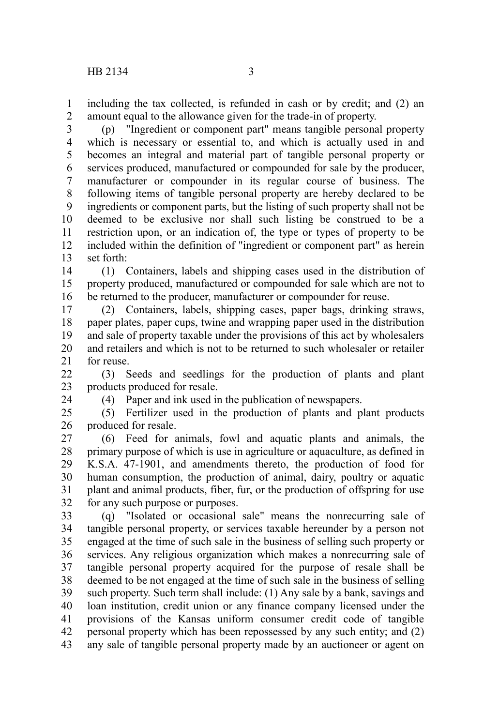including the tax collected, is refunded in cash or by credit; and (2) an amount equal to the allowance given for the trade-in of property. 1 2

(p) "Ingredient or component part" means tangible personal property which is necessary or essential to, and which is actually used in and becomes an integral and material part of tangible personal property or services produced, manufactured or compounded for sale by the producer, manufacturer or compounder in its regular course of business. The following items of tangible personal property are hereby declared to be ingredients or component parts, but the listing of such property shall not be deemed to be exclusive nor shall such listing be construed to be a restriction upon, or an indication of, the type or types of property to be included within the definition of "ingredient or component part" as herein set forth: 3 4 5 6 7 8 9 10 11 12 13

(1) Containers, labels and shipping cases used in the distribution of property produced, manufactured or compounded for sale which are not to be returned to the producer, manufacturer or compounder for reuse. 14 15 16

(2) Containers, labels, shipping cases, paper bags, drinking straws, paper plates, paper cups, twine and wrapping paper used in the distribution and sale of property taxable under the provisions of this act by wholesalers and retailers and which is not to be returned to such wholesaler or retailer for reuse. 17 18 19 20 21

(3) Seeds and seedlings for the production of plants and plant products produced for resale. 22 23

24

(4) Paper and ink used in the publication of newspapers.

(5) Fertilizer used in the production of plants and plant products produced for resale. 25 26

(6) Feed for animals, fowl and aquatic plants and animals, the primary purpose of which is use in agriculture or aquaculture, as defined in K.S.A. 47-1901, and amendments thereto, the production of food for human consumption, the production of animal, dairy, poultry or aquatic plant and animal products, fiber, fur, or the production of offspring for use for any such purpose or purposes. 27 28 29 30 31 32

(q) "Isolated or occasional sale" means the nonrecurring sale of tangible personal property, or services taxable hereunder by a person not engaged at the time of such sale in the business of selling such property or services. Any religious organization which makes a nonrecurring sale of tangible personal property acquired for the purpose of resale shall be deemed to be not engaged at the time of such sale in the business of selling such property. Such term shall include: (1) Any sale by a bank, savings and loan institution, credit union or any finance company licensed under the provisions of the Kansas uniform consumer credit code of tangible personal property which has been repossessed by any such entity; and (2) any sale of tangible personal property made by an auctioneer or agent on 33 34 35 36 37 38 39 40 41 42 43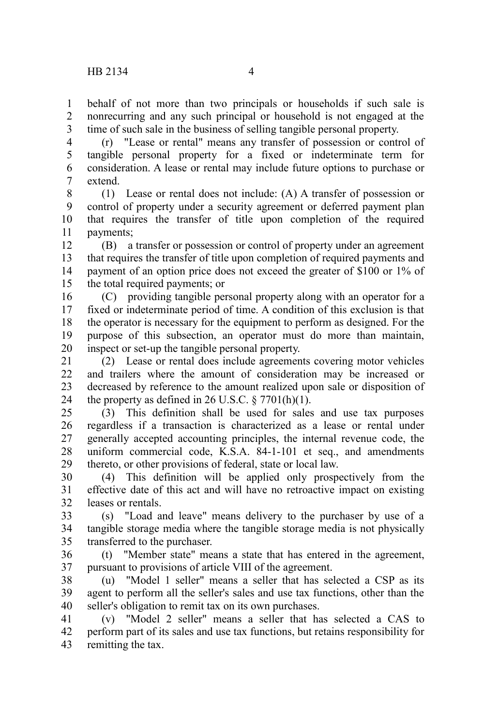behalf of not more than two principals or households if such sale is nonrecurring and any such principal or household is not engaged at the time of such sale in the business of selling tangible personal property. 1 2 3

(r) "Lease or rental" means any transfer of possession or control of tangible personal property for a fixed or indeterminate term for consideration. A lease or rental may include future options to purchase or extend. 4 5 6 7

(1) Lease or rental does not include: (A) A transfer of possession or control of property under a security agreement or deferred payment plan that requires the transfer of title upon completion of the required payments; 8 9 10 11

(B) a transfer or possession or control of property under an agreement that requires the transfer of title upon completion of required payments and payment of an option price does not exceed the greater of \$100 or 1% of the total required payments; or 12 13 14 15

(C) providing tangible personal property along with an operator for a fixed or indeterminate period of time. A condition of this exclusion is that the operator is necessary for the equipment to perform as designed. For the purpose of this subsection, an operator must do more than maintain, inspect or set-up the tangible personal property. 16 17 18 19 20

(2) Lease or rental does include agreements covering motor vehicles and trailers where the amount of consideration may be increased or decreased by reference to the amount realized upon sale or disposition of the property as defined in 26 U.S.C.  $\S 7701(h)(1)$ . 21  $22$ 23 24

(3) This definition shall be used for sales and use tax purposes regardless if a transaction is characterized as a lease or rental under generally accepted accounting principles, the internal revenue code, the uniform commercial code, K.S.A. 84-1-101 et seq., and amendments thereto, or other provisions of federal, state or local law. 25 26 27 28 29

(4) This definition will be applied only prospectively from the effective date of this act and will have no retroactive impact on existing leases or rentals. 30 31 32

(s) "Load and leave" means delivery to the purchaser by use of a tangible storage media where the tangible storage media is not physically transferred to the purchaser. 33 34 35

(t) "Member state" means a state that has entered in the agreement, pursuant to provisions of article VIII of the agreement. 36 37

(u) "Model 1 seller" means a seller that has selected a CSP as its agent to perform all the seller's sales and use tax functions, other than the seller's obligation to remit tax on its own purchases. 38 39 40

(v) "Model 2 seller" means a seller that has selected a CAS to perform part of its sales and use tax functions, but retains responsibility for remitting the tax. 41 42 43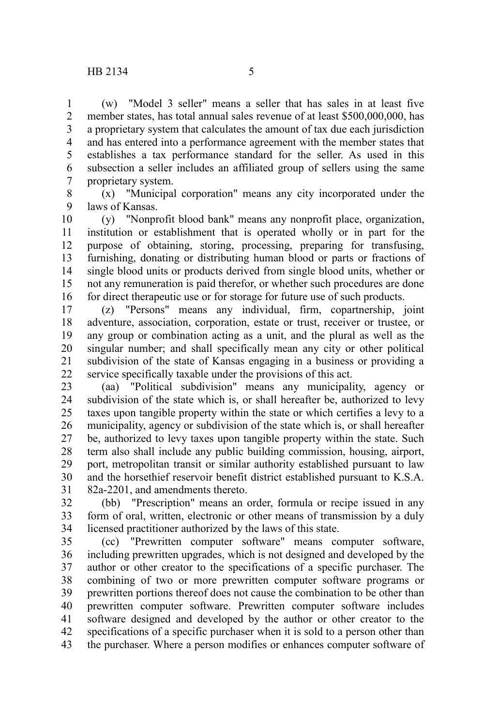(w) "Model 3 seller" means a seller that has sales in at least five

member states, has total annual sales revenue of at least \$500,000,000, has a proprietary system that calculates the amount of tax due each jurisdiction and has entered into a performance agreement with the member states that establishes a tax performance standard for the seller. As used in this subsection a seller includes an affiliated group of sellers using the same proprietary system. 1 2 3 4 5 6 7

(x) "Municipal corporation" means any city incorporated under the laws of Kansas. 8 9

(y) "Nonprofit blood bank" means any nonprofit place, organization, institution or establishment that is operated wholly or in part for the purpose of obtaining, storing, processing, preparing for transfusing, furnishing, donating or distributing human blood or parts or fractions of single blood units or products derived from single blood units, whether or not any remuneration is paid therefor, or whether such procedures are done for direct therapeutic use or for storage for future use of such products. 10 11 12 13 14 15 16

(z) "Persons" means any individual, firm, copartnership, joint adventure, association, corporation, estate or trust, receiver or trustee, or any group or combination acting as a unit, and the plural as well as the singular number; and shall specifically mean any city or other political subdivision of the state of Kansas engaging in a business or providing a service specifically taxable under the provisions of this act. 17 18 19 20 21 22

(aa) "Political subdivision" means any municipality, agency or subdivision of the state which is, or shall hereafter be, authorized to levy taxes upon tangible property within the state or which certifies a levy to a municipality, agency or subdivision of the state which is, or shall hereafter be, authorized to levy taxes upon tangible property within the state. Such term also shall include any public building commission, housing, airport, port, metropolitan transit or similar authority established pursuant to law and the horsethief reservoir benefit district established pursuant to K.S.A. 82a-2201, and amendments thereto. 23 24 25 26 27 28 29 30 31

(bb) "Prescription" means an order, formula or recipe issued in any form of oral, written, electronic or other means of transmission by a duly licensed practitioner authorized by the laws of this state. 32 33 34

(cc) "Prewritten computer software" means computer software, including prewritten upgrades, which is not designed and developed by the author or other creator to the specifications of a specific purchaser. The combining of two or more prewritten computer software programs or prewritten portions thereof does not cause the combination to be other than prewritten computer software. Prewritten computer software includes software designed and developed by the author or other creator to the specifications of a specific purchaser when it is sold to a person other than the purchaser. Where a person modifies or enhances computer software of 35 36 37 38 39 40 41 42 43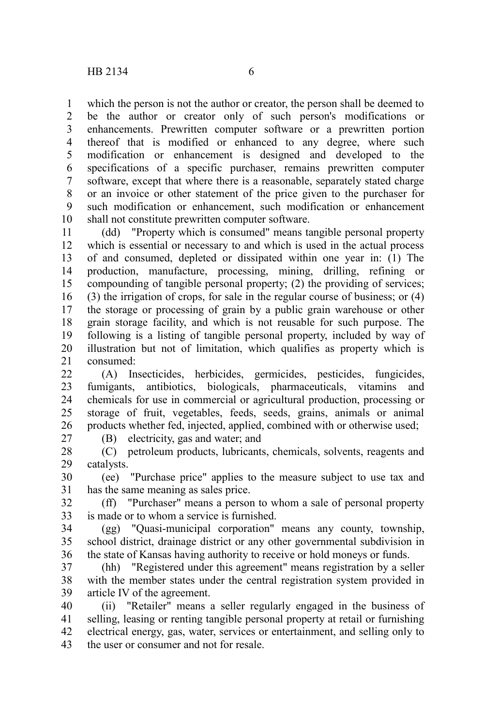which the person is not the author or creator, the person shall be deemed to be the author or creator only of such person's modifications or enhancements. Prewritten computer software or a prewritten portion thereof that is modified or enhanced to any degree, where such modification or enhancement is designed and developed to the specifications of a specific purchaser, remains prewritten computer software, except that where there is a reasonable, separately stated charge or an invoice or other statement of the price given to the purchaser for such modification or enhancement, such modification or enhancement shall not constitute prewritten computer software. 1 2 3 4 5 6 7 8 9 10

(dd) "Property which is consumed" means tangible personal property which is essential or necessary to and which is used in the actual process of and consumed, depleted or dissipated within one year in: (1) The production, manufacture, processing, mining, drilling, refining or compounding of tangible personal property; (2) the providing of services; (3) the irrigation of crops, for sale in the regular course of business; or (4) the storage or processing of grain by a public grain warehouse or other grain storage facility, and which is not reusable for such purpose. The following is a listing of tangible personal property, included by way of illustration but not of limitation, which qualifies as property which is consumed: 11 12 13 14 15 16 17 18 19 20 21

(A) Insecticides, herbicides, germicides, pesticides, fungicides, fumigants, antibiotics, biologicals, pharmaceuticals, vitamins and chemicals for use in commercial or agricultural production, processing or storage of fruit, vegetables, feeds, seeds, grains, animals or animal products whether fed, injected, applied, combined with or otherwise used;  $22$ 23 24 25 26

27

(B) electricity, gas and water; and

(C) petroleum products, lubricants, chemicals, solvents, reagents and catalysts. 28 29

(ee) "Purchase price" applies to the measure subject to use tax and has the same meaning as sales price. 30 31

(ff) "Purchaser" means a person to whom a sale of personal property is made or to whom a service is furnished. 32 33

(gg) "Quasi-municipal corporation" means any county, township, school district, drainage district or any other governmental subdivision in the state of Kansas having authority to receive or hold moneys or funds. 34 35 36

(hh) "Registered under this agreement" means registration by a seller with the member states under the central registration system provided in article IV of the agreement. 37 38 39

(ii) "Retailer" means a seller regularly engaged in the business of selling, leasing or renting tangible personal property at retail or furnishing electrical energy, gas, water, services or entertainment, and selling only to the user or consumer and not for resale. 40 41 42 43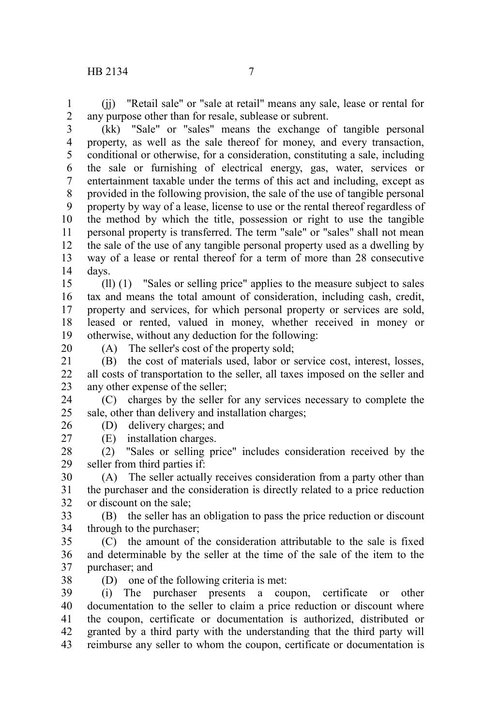(jj) "Retail sale" or "sale at retail" means any sale, lease or rental for any purpose other than for resale, sublease or subrent. 1 2

(kk) "Sale" or "sales" means the exchange of tangible personal property, as well as the sale thereof for money, and every transaction, conditional or otherwise, for a consideration, constituting a sale, including the sale or furnishing of electrical energy, gas, water, services or entertainment taxable under the terms of this act and including, except as provided in the following provision, the sale of the use of tangible personal property by way of a lease, license to use or the rental thereof regardless of the method by which the title, possession or right to use the tangible personal property is transferred. The term "sale" or "sales" shall not mean the sale of the use of any tangible personal property used as a dwelling by way of a lease or rental thereof for a term of more than 28 consecutive days. 3 4 5 6 7 8 9 10 11 12 13 14

(ll) (1) "Sales or selling price" applies to the measure subject to sales tax and means the total amount of consideration, including cash, credit, property and services, for which personal property or services are sold, leased or rented, valued in money, whether received in money or otherwise, without any deduction for the following: 15 16 17 18 19

20

(A) The seller's cost of the property sold;

(B) the cost of materials used, labor or service cost, interest, losses, all costs of transportation to the seller, all taxes imposed on the seller and any other expense of the seller; 21 22 23

(C) charges by the seller for any services necessary to complete the sale, other than delivery and installation charges; 24 25

(D) delivery charges; and 26

(E) installation charges.

27

(2) "Sales or selling price" includes consideration received by the seller from third parties if: 28 29

(A) The seller actually receives consideration from a party other than the purchaser and the consideration is directly related to a price reduction or discount on the sale; 30 31 32

(B) the seller has an obligation to pass the price reduction or discount through to the purchaser; 33 34

(C) the amount of the consideration attributable to the sale is fixed and determinable by the seller at the time of the sale of the item to the purchaser; and 35 36 37

(D) one of the following criteria is met: 38

(i) The purchaser presents a coupon, certificate or other documentation to the seller to claim a price reduction or discount where the coupon, certificate or documentation is authorized, distributed or granted by a third party with the understanding that the third party will reimburse any seller to whom the coupon, certificate or documentation is 39 40 41 42 43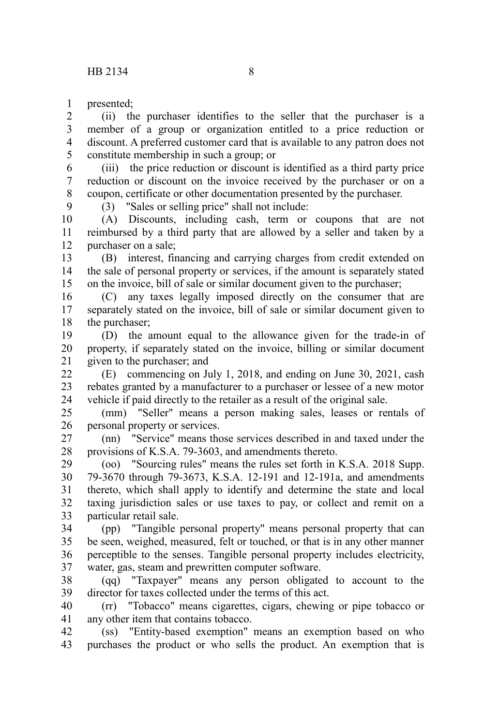presented; 1

9

(ii) the purchaser identifies to the seller that the purchaser is a member of a group or organization entitled to a price reduction or discount. A preferred customer card that is available to any patron does not constitute membership in such a group; or 2 3 4 5

(iii) the price reduction or discount is identified as a third party price reduction or discount on the invoice received by the purchaser or on a coupon, certificate or other documentation presented by the purchaser. 6 7 8

(3) "Sales or selling price" shall not include:

(A) Discounts, including cash, term or coupons that are not reimbursed by a third party that are allowed by a seller and taken by a purchaser on a sale; 10 11 12

(B) interest, financing and carrying charges from credit extended on the sale of personal property or services, if the amount is separately stated on the invoice, bill of sale or similar document given to the purchaser; 13 14 15

(C) any taxes legally imposed directly on the consumer that are separately stated on the invoice, bill of sale or similar document given to the purchaser; 16 17 18

(D) the amount equal to the allowance given for the trade-in of property, if separately stated on the invoice, billing or similar document given to the purchaser; and 19 20 21

(E) commencing on July 1, 2018, and ending on June 30, 2021, cash rebates granted by a manufacturer to a purchaser or lessee of a new motor vehicle if paid directly to the retailer as a result of the original sale. 22 23 24

(mm) "Seller" means a person making sales, leases or rentals of personal property or services. 25 26

(nn) "Service" means those services described in and taxed under the provisions of K.S.A. 79-3603, and amendments thereto. 27 28

(oo) "Sourcing rules" means the rules set forth in K.S.A. 2018 Supp. 79-3670 through 79-3673, K.S.A. 12-191 and 12-191a, and amendments thereto, which shall apply to identify and determine the state and local taxing jurisdiction sales or use taxes to pay, or collect and remit on a particular retail sale. 29 30 31 32 33

(pp) "Tangible personal property" means personal property that can be seen, weighed, measured, felt or touched, or that is in any other manner perceptible to the senses. Tangible personal property includes electricity, water, gas, steam and prewritten computer software. 34 35 36 37

(qq) "Taxpayer" means any person obligated to account to the director for taxes collected under the terms of this act. 38 39

(rr) "Tobacco" means cigarettes, cigars, chewing or pipe tobacco or any other item that contains tobacco. 40 41

(ss) "Entity-based exemption" means an exemption based on who purchases the product or who sells the product. An exemption that is 42 43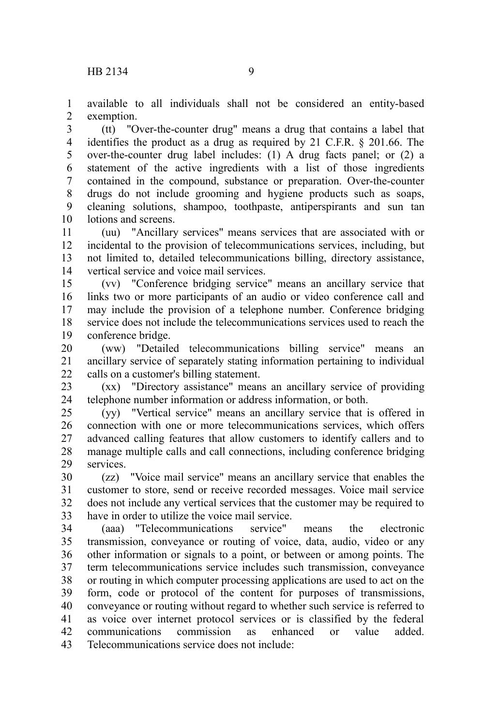available to all individuals shall not be considered an entity-based exemption. 1 2

(tt) "Over-the-counter drug" means a drug that contains a label that identifies the product as a drug as required by 21 C.F.R. § 201.66. The over-the-counter drug label includes: (1) A drug facts panel; or (2) a statement of the active ingredients with a list of those ingredients contained in the compound, substance or preparation. Over-the-counter drugs do not include grooming and hygiene products such as soaps, cleaning solutions, shampoo, toothpaste, antiperspirants and sun tan lotions and screens. 3 4 5 6 7 8 9 10

(uu) "Ancillary services" means services that are associated with or incidental to the provision of telecommunications services, including, but not limited to, detailed telecommunications billing, directory assistance, vertical service and voice mail services. 11 12 13 14

(vv) "Conference bridging service" means an ancillary service that links two or more participants of an audio or video conference call and may include the provision of a telephone number. Conference bridging service does not include the telecommunications services used to reach the conference bridge. 15 16 17 18 19

(ww) "Detailed telecommunications billing service" means an ancillary service of separately stating information pertaining to individual calls on a customer's billing statement. 20 21 22

(xx) "Directory assistance" means an ancillary service of providing telephone number information or address information, or both. 23 24

(yy) "Vertical service" means an ancillary service that is offered in connection with one or more telecommunications services, which offers advanced calling features that allow customers to identify callers and to manage multiple calls and call connections, including conference bridging services. 25 26 27 28 29

(zz) "Voice mail service" means an ancillary service that enables the customer to store, send or receive recorded messages. Voice mail service does not include any vertical services that the customer may be required to have in order to utilize the voice mail service. 30 31 32 33

(aaa) "Telecommunications service" means the electronic transmission, conveyance or routing of voice, data, audio, video or any other information or signals to a point, or between or among points. The term telecommunications service includes such transmission, conveyance or routing in which computer processing applications are used to act on the form, code or protocol of the content for purposes of transmissions, conveyance or routing without regard to whether such service is referred to as voice over internet protocol services or is classified by the federal communications commission as enhanced or value added. Telecommunications service does not include: 34 35 36 37 38 39 40 41 42 43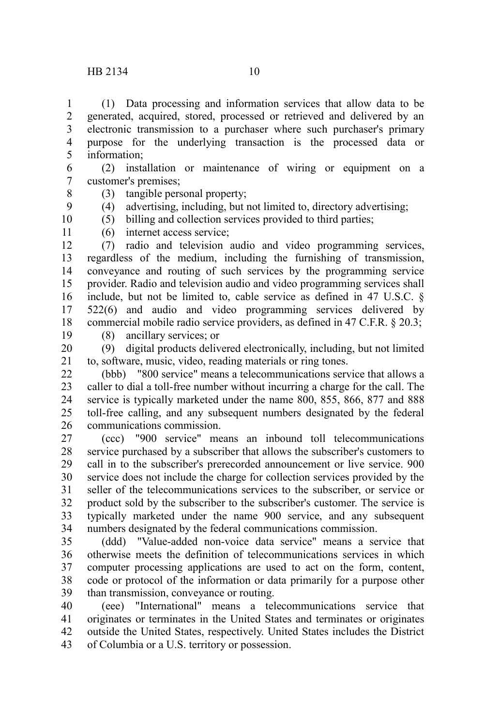(1) Data processing and information services that allow data to be generated, acquired, stored, processed or retrieved and delivered by an electronic transmission to a purchaser where such purchaser's primary purpose for the underlying transaction is the processed data or information; 1 2 3 4 5

(2) installation or maintenance of wiring or equipment on a customer's premises; 6 7

8

- (3) tangible personal property;
- (4) advertising, including, but not limited to, directory advertising;
- (5) billing and collection services provided to third parties;

10 11

9

(6) internet access service;

(7) radio and television audio and video programming services, regardless of the medium, including the furnishing of transmission, conveyance and routing of such services by the programming service provider. Radio and television audio and video programming services shall include, but not be limited to, cable service as defined in 47 U.S.C. § 522(6) and audio and video programming services delivered by commercial mobile radio service providers, as defined in 47 C.F.R. § 20.3; 12 13 14 15 16 17 18

- 19
- (8) ancillary services; or

(9) digital products delivered electronically, including, but not limited to, software, music, video, reading materials or ring tones. 20 21

(bbb) "800 service" means a telecommunications service that allows a caller to dial a toll-free number without incurring a charge for the call. The service is typically marketed under the name 800, 855, 866, 877 and 888 toll-free calling, and any subsequent numbers designated by the federal communications commission. 22 23 24 25 26

(ccc) "900 service" means an inbound toll telecommunications service purchased by a subscriber that allows the subscriber's customers to call in to the subscriber's prerecorded announcement or live service. 900 service does not include the charge for collection services provided by the seller of the telecommunications services to the subscriber, or service or product sold by the subscriber to the subscriber's customer. The service is typically marketed under the name 900 service, and any subsequent numbers designated by the federal communications commission. 27 28 29 30 31 32 33 34

(ddd) "Value-added non-voice data service" means a service that otherwise meets the definition of telecommunications services in which computer processing applications are used to act on the form, content, code or protocol of the information or data primarily for a purpose other than transmission, conveyance or routing. 35 36 37 38 39

(eee) "International" means a telecommunications service that originates or terminates in the United States and terminates or originates outside the United States, respectively. United States includes the District of Columbia or a U.S. territory or possession. 40 41 42 43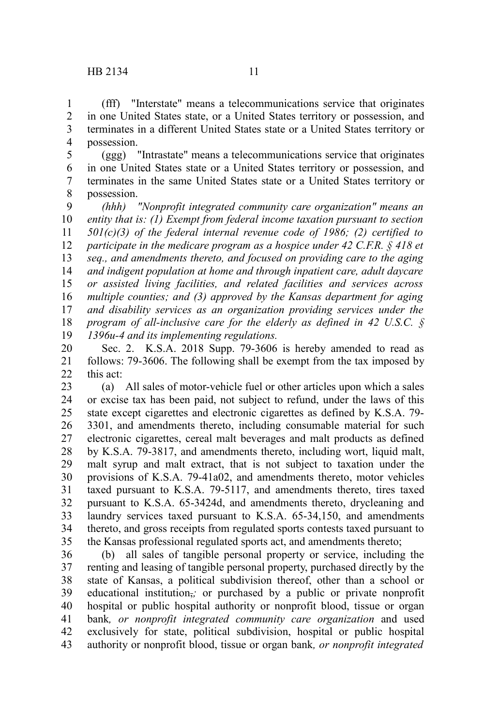possession. 4

1 2 3

(ggg) "Intrastate" means a telecommunications service that originates in one United States state or a United States territory or possession, and terminates in the same United States state or a United States territory or possession. 5 6 7 8

*(hhh) "Nonprofit integrated community care organization" means an entity that is: (1) Exempt from federal income taxation pursuant to section 501(c)(3) of the federal internal revenue code of 1986; (2) certified to participate in the medicare program as a hospice under 42 C.F.R. § 418 et seq., and amendments thereto, and focused on providing care to the aging and indigent population at home and through inpatient care, adult daycare or assisted living facilities, and related facilities and services across multiple counties; and (3) approved by the Kansas department for aging and disability services as an organization providing services under the program of all-inclusive care for the elderly as defined in 42 U.S.C. § 1396u-4 and its implementing regulations.* 9 10 11 12 13 14 15 16 17 18 19

Sec. 2. K.S.A. 2018 Supp. 79-3606 is hereby amended to read as follows: 79-3606. The following shall be exempt from the tax imposed by this act: 20 21 22

(a) All sales of motor-vehicle fuel or other articles upon which a sales or excise tax has been paid, not subject to refund, under the laws of this state except cigarettes and electronic cigarettes as defined by K.S.A. 79- 3301, and amendments thereto, including consumable material for such electronic cigarettes, cereal malt beverages and malt products as defined by K.S.A. 79-3817, and amendments thereto, including wort, liquid malt, malt syrup and malt extract, that is not subject to taxation under the provisions of K.S.A. 79-41a02, and amendments thereto, motor vehicles taxed pursuant to K.S.A. 79-5117, and amendments thereto, tires taxed pursuant to K.S.A. 65-3424d, and amendments thereto, drycleaning and laundry services taxed pursuant to K.S.A. 65-34,150, and amendments thereto, and gross receipts from regulated sports contests taxed pursuant to the Kansas professional regulated sports act, and amendments thereto; 23 24 25 26 27 28 29 30 31 32 33 34 35

(b) all sales of tangible personal property or service, including the renting and leasing of tangible personal property, purchased directly by the state of Kansas, a political subdivision thereof, other than a school or educational institution<sub>7</sub>; or purchased by a public or private nonprofit hospital or public hospital authority or nonprofit blood, tissue or organ bank*, or nonprofit integrated community care organization* and used exclusively for state, political subdivision, hospital or public hospital authority or nonprofit blood, tissue or organ bank*, or nonprofit integrated* 36 37 38 39 40 41 42 43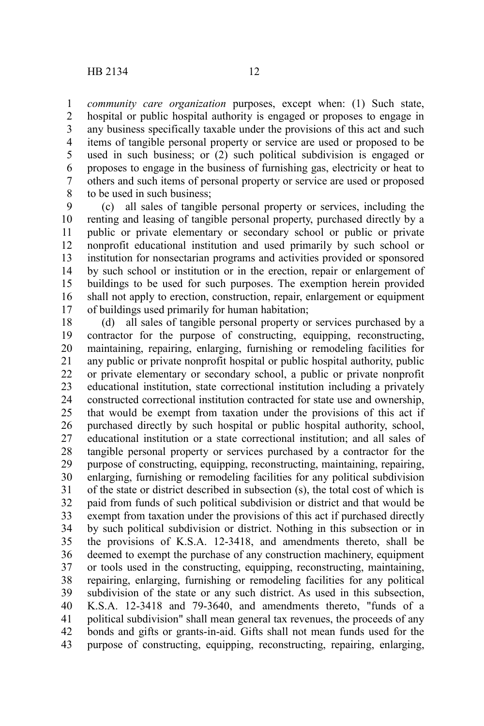*community care organization* purposes, except when: (1) Such state, hospital or public hospital authority is engaged or proposes to engage in any business specifically taxable under the provisions of this act and such items of tangible personal property or service are used or proposed to be used in such business; or (2) such political subdivision is engaged or proposes to engage in the business of furnishing gas, electricity or heat to others and such items of personal property or service are used or proposed to be used in such business; 1 2 3 4 5 6 7 8

(c) all sales of tangible personal property or services, including the renting and leasing of tangible personal property, purchased directly by a public or private elementary or secondary school or public or private nonprofit educational institution and used primarily by such school or institution for nonsectarian programs and activities provided or sponsored by such school or institution or in the erection, repair or enlargement of buildings to be used for such purposes. The exemption herein provided shall not apply to erection, construction, repair, enlargement or equipment of buildings used primarily for human habitation; 9 10 11 12 13 14 15 16 17

(d) all sales of tangible personal property or services purchased by a contractor for the purpose of constructing, equipping, reconstructing, maintaining, repairing, enlarging, furnishing or remodeling facilities for any public or private nonprofit hospital or public hospital authority, public or private elementary or secondary school, a public or private nonprofit educational institution, state correctional institution including a privately constructed correctional institution contracted for state use and ownership, that would be exempt from taxation under the provisions of this act if purchased directly by such hospital or public hospital authority, school, educational institution or a state correctional institution; and all sales of tangible personal property or services purchased by a contractor for the purpose of constructing, equipping, reconstructing, maintaining, repairing, enlarging, furnishing or remodeling facilities for any political subdivision of the state or district described in subsection (s), the total cost of which is paid from funds of such political subdivision or district and that would be exempt from taxation under the provisions of this act if purchased directly by such political subdivision or district. Nothing in this subsection or in the provisions of K.S.A. 12-3418, and amendments thereto, shall be deemed to exempt the purchase of any construction machinery, equipment or tools used in the constructing, equipping, reconstructing, maintaining, repairing, enlarging, furnishing or remodeling facilities for any political subdivision of the state or any such district. As used in this subsection, K.S.A. 12-3418 and 79-3640, and amendments thereto, "funds of a political subdivision" shall mean general tax revenues, the proceeds of any bonds and gifts or grants-in-aid. Gifts shall not mean funds used for the purpose of constructing, equipping, reconstructing, repairing, enlarging, 18 19 20 21 22 23 24 25 26 27 28 29 30 31 32 33 34 35 36 37 38 39 40 41 42 43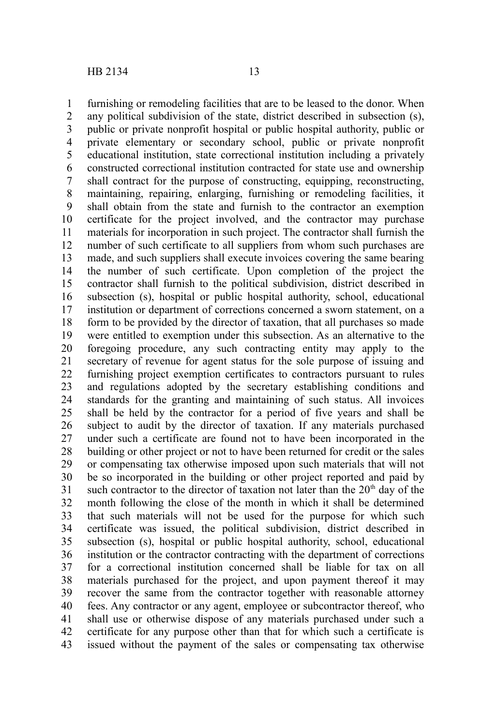furnishing or remodeling facilities that are to be leased to the donor. When any political subdivision of the state, district described in subsection (s), public or private nonprofit hospital or public hospital authority, public or private elementary or secondary school, public or private nonprofit educational institution, state correctional institution including a privately constructed correctional institution contracted for state use and ownership shall contract for the purpose of constructing, equipping, reconstructing, maintaining, repairing, enlarging, furnishing or remodeling facilities, it shall obtain from the state and furnish to the contractor an exemption certificate for the project involved, and the contractor may purchase materials for incorporation in such project. The contractor shall furnish the number of such certificate to all suppliers from whom such purchases are made, and such suppliers shall execute invoices covering the same bearing the number of such certificate. Upon completion of the project the contractor shall furnish to the political subdivision, district described in subsection (s), hospital or public hospital authority, school, educational institution or department of corrections concerned a sworn statement, on a form to be provided by the director of taxation, that all purchases so made were entitled to exemption under this subsection. As an alternative to the foregoing procedure, any such contracting entity may apply to the secretary of revenue for agent status for the sole purpose of issuing and furnishing project exemption certificates to contractors pursuant to rules and regulations adopted by the secretary establishing conditions and standards for the granting and maintaining of such status. All invoices shall be held by the contractor for a period of five years and shall be subject to audit by the director of taxation. If any materials purchased under such a certificate are found not to have been incorporated in the building or other project or not to have been returned for credit or the sales or compensating tax otherwise imposed upon such materials that will not be so incorporated in the building or other project reported and paid by such contractor to the director of taxation not later than the  $20<sup>th</sup>$  day of the month following the close of the month in which it shall be determined that such materials will not be used for the purpose for which such certificate was issued, the political subdivision, district described in subsection (s), hospital or public hospital authority, school, educational institution or the contractor contracting with the department of corrections for a correctional institution concerned shall be liable for tax on all materials purchased for the project, and upon payment thereof it may recover the same from the contractor together with reasonable attorney fees. Any contractor or any agent, employee or subcontractor thereof, who shall use or otherwise dispose of any materials purchased under such a certificate for any purpose other than that for which such a certificate is issued without the payment of the sales or compensating tax otherwise 1 2 3 4 5 6 7 8 9 10 11 12 13 14 15 16 17 18 19 20 21 22 23 24 25 26 27 28 29 30 31 32 33 34 35 36 37 38 39 40 41 42 43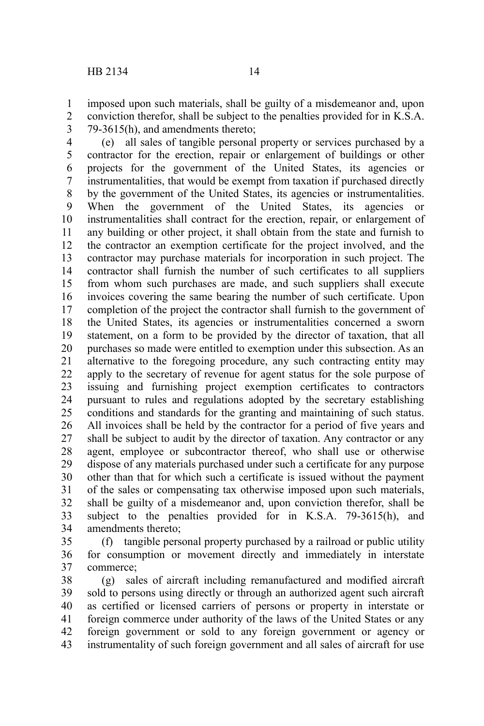imposed upon such materials, shall be guilty of a misdemeanor and, upon conviction therefor, shall be subject to the penalties provided for in K.S.A. 79-3615(h), and amendments thereto; 1 2 3

(e) all sales of tangible personal property or services purchased by a contractor for the erection, repair or enlargement of buildings or other projects for the government of the United States, its agencies or instrumentalities, that would be exempt from taxation if purchased directly by the government of the United States, its agencies or instrumentalities. When the government of the United States, its agencies or instrumentalities shall contract for the erection, repair, or enlargement of any building or other project, it shall obtain from the state and furnish to the contractor an exemption certificate for the project involved, and the contractor may purchase materials for incorporation in such project. The contractor shall furnish the number of such certificates to all suppliers from whom such purchases are made, and such suppliers shall execute invoices covering the same bearing the number of such certificate. Upon completion of the project the contractor shall furnish to the government of the United States, its agencies or instrumentalities concerned a sworn statement, on a form to be provided by the director of taxation, that all purchases so made were entitled to exemption under this subsection. As an alternative to the foregoing procedure, any such contracting entity may apply to the secretary of revenue for agent status for the sole purpose of issuing and furnishing project exemption certificates to contractors pursuant to rules and regulations adopted by the secretary establishing conditions and standards for the granting and maintaining of such status. All invoices shall be held by the contractor for a period of five years and shall be subject to audit by the director of taxation. Any contractor or any agent, employee or subcontractor thereof, who shall use or otherwise dispose of any materials purchased under such a certificate for any purpose other than that for which such a certificate is issued without the payment of the sales or compensating tax otherwise imposed upon such materials, shall be guilty of a misdemeanor and, upon conviction therefor, shall be subject to the penalties provided for in K.S.A. 79-3615(h), and amendments thereto; 4 5 6 7 8 9 10 11 12 13 14 15 16 17 18 19 20 21 22 23 24 25 26 27 28 29 30 31 32 33 34

(f) tangible personal property purchased by a railroad or public utility for consumption or movement directly and immediately in interstate commerce; 35 36 37

(g) sales of aircraft including remanufactured and modified aircraft sold to persons using directly or through an authorized agent such aircraft as certified or licensed carriers of persons or property in interstate or foreign commerce under authority of the laws of the United States or any foreign government or sold to any foreign government or agency or instrumentality of such foreign government and all sales of aircraft for use 38 39 40 41 42 43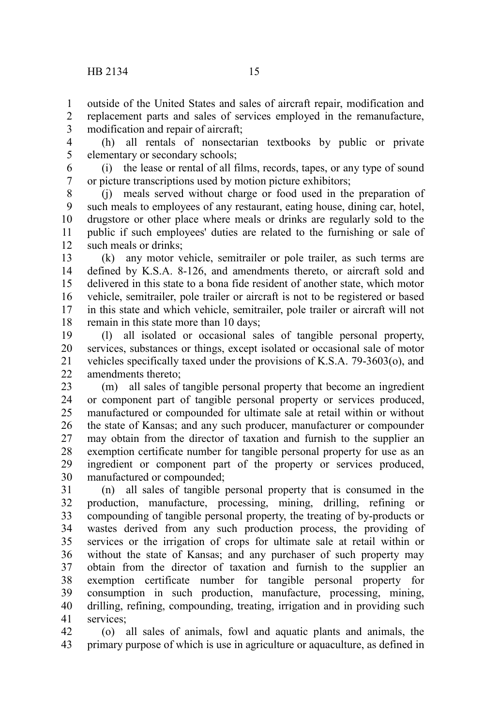outside of the United States and sales of aircraft repair, modification and replacement parts and sales of services employed in the remanufacture, modification and repair of aircraft; 1 2 3

(h) all rentals of nonsectarian textbooks by public or private elementary or secondary schools; 4 5

(i) the lease or rental of all films, records, tapes, or any type of sound or picture transcriptions used by motion picture exhibitors; 6 7

(j) meals served without charge or food used in the preparation of such meals to employees of any restaurant, eating house, dining car, hotel, drugstore or other place where meals or drinks are regularly sold to the public if such employees' duties are related to the furnishing or sale of such meals or drinks; 8 9 10 11 12

(k) any motor vehicle, semitrailer or pole trailer, as such terms are defined by K.S.A. 8-126, and amendments thereto, or aircraft sold and delivered in this state to a bona fide resident of another state, which motor vehicle, semitrailer, pole trailer or aircraft is not to be registered or based in this state and which vehicle, semitrailer, pole trailer or aircraft will not remain in this state more than 10 days; 13 14 15 16 17 18

(l) all isolated or occasional sales of tangible personal property, services, substances or things, except isolated or occasional sale of motor vehicles specifically taxed under the provisions of K.S.A. 79-3603(o), and amendments thereto; 19 20 21 22

(m) all sales of tangible personal property that become an ingredient or component part of tangible personal property or services produced, manufactured or compounded for ultimate sale at retail within or without the state of Kansas; and any such producer, manufacturer or compounder may obtain from the director of taxation and furnish to the supplier an exemption certificate number for tangible personal property for use as an ingredient or component part of the property or services produced, manufactured or compounded; 23 24 25 26 27 28 29 30

(n) all sales of tangible personal property that is consumed in the production, manufacture, processing, mining, drilling, refining or compounding of tangible personal property, the treating of by-products or wastes derived from any such production process, the providing of services or the irrigation of crops for ultimate sale at retail within or without the state of Kansas; and any purchaser of such property may obtain from the director of taxation and furnish to the supplier an exemption certificate number for tangible personal property for consumption in such production, manufacture, processing, mining, drilling, refining, compounding, treating, irrigation and in providing such services; 31 32 33 34 35 36 37 38 39 40 41

(o) all sales of animals, fowl and aquatic plants and animals, the primary purpose of which is use in agriculture or aquaculture, as defined in 42 43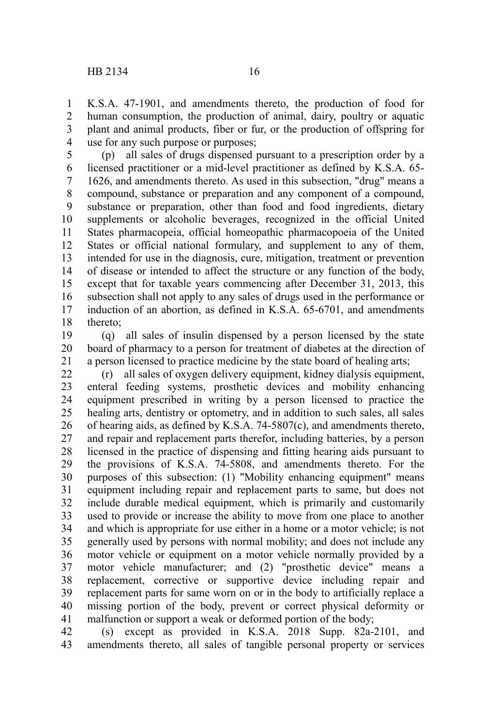K.S.A. 47-1901, and amendments thereto, the production of food for human consumption, the production of animal, dairy, poultry or aquatic plant and animal products, fiber or fur, or the production of offspring for use for any such purpose or purposes; 1 2 3 4

(p) all sales of drugs dispensed pursuant to a prescription order by a licensed practitioner or a mid-level practitioner as defined by K.S.A. 65- 1626, and amendments thereto. As used in this subsection, "drug" means a compound, substance or preparation and any component of a compound, substance or preparation, other than food and food ingredients, dietary supplements or alcoholic beverages, recognized in the official United States pharmacopeia, official homeopathic pharmacopoeia of the United States or official national formulary, and supplement to any of them, intended for use in the diagnosis, cure, mitigation, treatment or prevention of disease or intended to affect the structure or any function of the body, except that for taxable years commencing after December 31, 2013, this subsection shall not apply to any sales of drugs used in the performance or induction of an abortion, as defined in K.S.A. 65-6701, and amendments thereto; 5 6 7 8 9 10 11 12 13 14 15 16 17 18

(q) all sales of insulin dispensed by a person licensed by the state board of pharmacy to a person for treatment of diabetes at the direction of a person licensed to practice medicine by the state board of healing arts; 19 20 21

(r) all sales of oxygen delivery equipment, kidney dialysis equipment, enteral feeding systems, prosthetic devices and mobility enhancing equipment prescribed in writing by a person licensed to practice the healing arts, dentistry or optometry, and in addition to such sales, all sales of hearing aids, as defined by K.S.A. 74-5807(c), and amendments thereto, and repair and replacement parts therefor, including batteries, by a person licensed in the practice of dispensing and fitting hearing aids pursuant to the provisions of K.S.A. 74-5808, and amendments thereto. For the purposes of this subsection: (1) "Mobility enhancing equipment" means equipment including repair and replacement parts to same, but does not include durable medical equipment, which is primarily and customarily used to provide or increase the ability to move from one place to another and which is appropriate for use either in a home or a motor vehicle; is not generally used by persons with normal mobility; and does not include any motor vehicle or equipment on a motor vehicle normally provided by a motor vehicle manufacturer; and (2) "prosthetic device" means a replacement, corrective or supportive device including repair and replacement parts for same worn on or in the body to artificially replace a missing portion of the body, prevent or correct physical deformity or malfunction or support a weak or deformed portion of the body; 22 23 24 25 26 27 28 29 30 31 32 33 34 35 36 37 38 39 40 41

(s) except as provided in K.S.A. 2018 Supp. 82a-2101, and amendments thereto, all sales of tangible personal property or services 42 43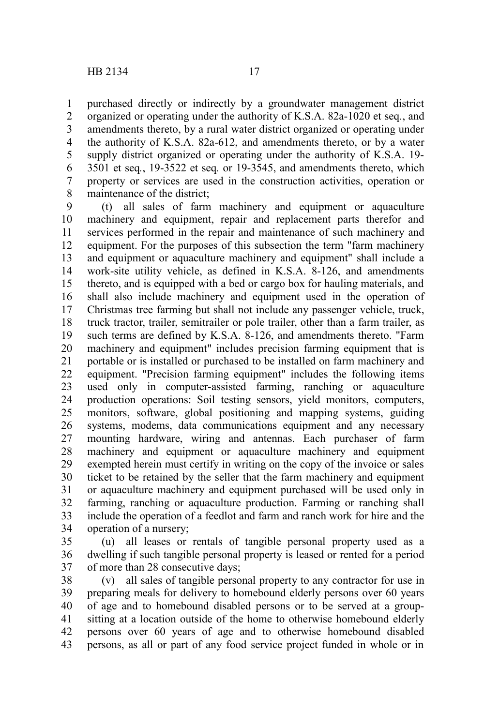purchased directly or indirectly by a groundwater management district organized or operating under the authority of K.S.A. 82a-1020 et seq*.*, and amendments thereto, by a rural water district organized or operating under the authority of K.S.A. 82a-612, and amendments thereto, or by a water supply district organized or operating under the authority of K.S.A. 19- 3501 et seq*.*, 19-3522 et seq*.* or 19-3545, and amendments thereto, which property or services are used in the construction activities, operation or maintenance of the district; 1 2 3 4 5 6 7 8

(t) all sales of farm machinery and equipment or aquaculture machinery and equipment, repair and replacement parts therefor and services performed in the repair and maintenance of such machinery and equipment. For the purposes of this subsection the term "farm machinery and equipment or aquaculture machinery and equipment" shall include a work-site utility vehicle, as defined in K.S.A. 8-126, and amendments thereto, and is equipped with a bed or cargo box for hauling materials, and shall also include machinery and equipment used in the operation of Christmas tree farming but shall not include any passenger vehicle, truck, truck tractor, trailer, semitrailer or pole trailer, other than a farm trailer, as such terms are defined by K.S.A. 8-126, and amendments thereto. "Farm machinery and equipment" includes precision farming equipment that is portable or is installed or purchased to be installed on farm machinery and equipment. "Precision farming equipment" includes the following items used only in computer-assisted farming, ranching or aquaculture production operations: Soil testing sensors, yield monitors, computers, monitors, software, global positioning and mapping systems, guiding systems, modems, data communications equipment and any necessary mounting hardware, wiring and antennas. Each purchaser of farm machinery and equipment or aquaculture machinery and equipment exempted herein must certify in writing on the copy of the invoice or sales ticket to be retained by the seller that the farm machinery and equipment or aquaculture machinery and equipment purchased will be used only in farming, ranching or aquaculture production. Farming or ranching shall include the operation of a feedlot and farm and ranch work for hire and the operation of a nursery; 9 10 11 12 13 14 15 16 17 18 19 20 21 22 23 24 25 26 27 28 29 30 31 32 33 34

(u) all leases or rentals of tangible personal property used as a dwelling if such tangible personal property is leased or rented for a period of more than 28 consecutive days; 35 36 37

(v) all sales of tangible personal property to any contractor for use in preparing meals for delivery to homebound elderly persons over 60 years of age and to homebound disabled persons or to be served at a groupsitting at a location outside of the home to otherwise homebound elderly persons over 60 years of age and to otherwise homebound disabled persons, as all or part of any food service project funded in whole or in 38 39 40 41 42 43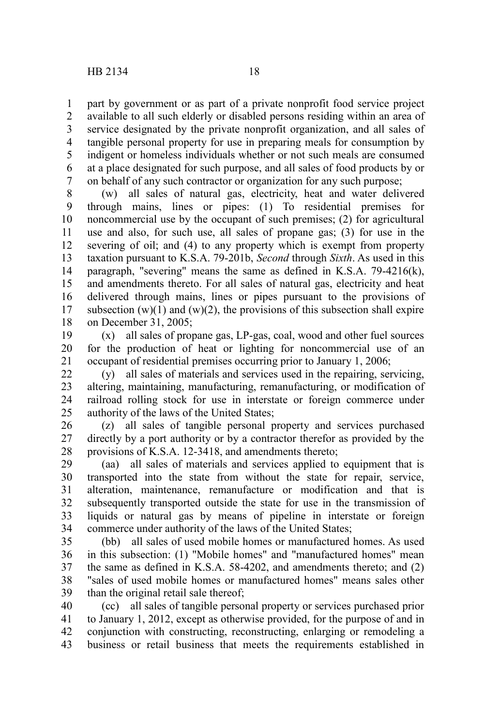part by government or as part of a private nonprofit food service project available to all such elderly or disabled persons residing within an area of service designated by the private nonprofit organization, and all sales of tangible personal property for use in preparing meals for consumption by indigent or homeless individuals whether or not such meals are consumed at a place designated for such purpose, and all sales of food products by or on behalf of any such contractor or organization for any such purpose; 1 2 3 4 5 6 7

(w) all sales of natural gas, electricity, heat and water delivered through mains, lines or pipes: (1) To residential premises for noncommercial use by the occupant of such premises; (2) for agricultural use and also, for such use, all sales of propane gas; (3) for use in the severing of oil; and (4) to any property which is exempt from property taxation pursuant to K.S.A. 79-201b, *Second* through *Sixth*. As used in this paragraph, "severing" means the same as defined in K.S.A. 79-4216(k), and amendments thereto. For all sales of natural gas, electricity and heat delivered through mains, lines or pipes pursuant to the provisions of subsection  $(w)(1)$  and  $(w)(2)$ , the provisions of this subsection shall expire on December 31, 2005; 8 9 10 11 12 13 14 15 16 17 18

(x) all sales of propane gas, LP-gas, coal, wood and other fuel sources for the production of heat or lighting for noncommercial use of an occupant of residential premises occurring prior to January 1, 2006; 19 20 21

(y) all sales of materials and services used in the repairing, servicing, altering, maintaining, manufacturing, remanufacturing, or modification of railroad rolling stock for use in interstate or foreign commerce under authority of the laws of the United States; 22 23 24 25

(z) all sales of tangible personal property and services purchased directly by a port authority or by a contractor therefor as provided by the provisions of K.S.A. 12-3418, and amendments thereto; 26 27 28

(aa) all sales of materials and services applied to equipment that is transported into the state from without the state for repair, service, alteration, maintenance, remanufacture or modification and that is subsequently transported outside the state for use in the transmission of liquids or natural gas by means of pipeline in interstate or foreign commerce under authority of the laws of the United States; 29 30 31 32 33 34

(bb) all sales of used mobile homes or manufactured homes. As used in this subsection: (1) "Mobile homes" and "manufactured homes" mean the same as defined in K.S.A. 58-4202, and amendments thereto; and (2) "sales of used mobile homes or manufactured homes" means sales other than the original retail sale thereof; 35 36 37 38 39

(cc) all sales of tangible personal property or services purchased prior to January 1, 2012, except as otherwise provided, for the purpose of and in conjunction with constructing, reconstructing, enlarging or remodeling a business or retail business that meets the requirements established in 40 41 42 43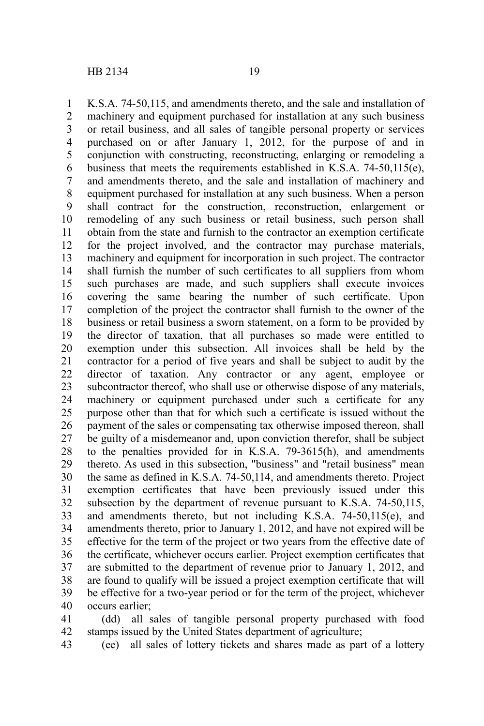K.S.A. 74-50,115, and amendments thereto, and the sale and installation of machinery and equipment purchased for installation at any such business or retail business, and all sales of tangible personal property or services purchased on or after January 1, 2012, for the purpose of and in conjunction with constructing, reconstructing, enlarging or remodeling a business that meets the requirements established in K.S.A. 74-50,115(e), and amendments thereto, and the sale and installation of machinery and equipment purchased for installation at any such business. When a person shall contract for the construction, reconstruction, enlargement or remodeling of any such business or retail business, such person shall obtain from the state and furnish to the contractor an exemption certificate for the project involved, and the contractor may purchase materials, machinery and equipment for incorporation in such project. The contractor shall furnish the number of such certificates to all suppliers from whom such purchases are made, and such suppliers shall execute invoices covering the same bearing the number of such certificate. Upon completion of the project the contractor shall furnish to the owner of the business or retail business a sworn statement, on a form to be provided by the director of taxation, that all purchases so made were entitled to exemption under this subsection. All invoices shall be held by the contractor for a period of five years and shall be subject to audit by the director of taxation. Any contractor or any agent, employee or subcontractor thereof, who shall use or otherwise dispose of any materials, machinery or equipment purchased under such a certificate for any purpose other than that for which such a certificate is issued without the payment of the sales or compensating tax otherwise imposed thereon, shall be guilty of a misdemeanor and, upon conviction therefor, shall be subject to the penalties provided for in K.S.A. 79-3615(h), and amendments thereto. As used in this subsection, "business" and "retail business" mean the same as defined in K.S.A. 74-50,114, and amendments thereto. Project exemption certificates that have been previously issued under this subsection by the department of revenue pursuant to K.S.A. 74-50,115, and amendments thereto, but not including K.S.A. 74-50,115(e), and amendments thereto, prior to January 1, 2012, and have not expired will be effective for the term of the project or two years from the effective date of the certificate, whichever occurs earlier. Project exemption certificates that are submitted to the department of revenue prior to January 1, 2012, and are found to qualify will be issued a project exemption certificate that will be effective for a two-year period or for the term of the project, whichever occurs earlier; 1 2 3 4 5 6 7 8 9 10 11 12 13 14 15 16 17 18 19 20 21 22 23 24 25 26 27 28 29 30 31 32 33 34 35 36 37 38 39 40

(dd) all sales of tangible personal property purchased with food stamps issued by the United States department of agriculture; 41 42

(ee) all sales of lottery tickets and shares made as part of a lottery 43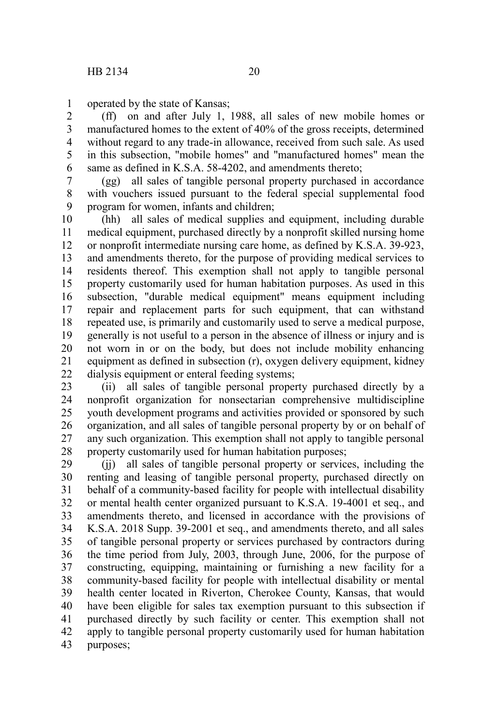operated by the state of Kansas; 1

(ff) on and after July 1, 1988, all sales of new mobile homes or manufactured homes to the extent of 40% of the gross receipts, determined without regard to any trade-in allowance, received from such sale. As used in this subsection, "mobile homes" and "manufactured homes" mean the same as defined in K.S.A. 58-4202, and amendments thereto; 2 3 4 5 6

(gg) all sales of tangible personal property purchased in accordance with vouchers issued pursuant to the federal special supplemental food program for women, infants and children; 7 8 9

(hh) all sales of medical supplies and equipment, including durable medical equipment, purchased directly by a nonprofit skilled nursing home or nonprofit intermediate nursing care home, as defined by K.S.A. 39-923, and amendments thereto, for the purpose of providing medical services to residents thereof. This exemption shall not apply to tangible personal property customarily used for human habitation purposes. As used in this subsection, "durable medical equipment" means equipment including repair and replacement parts for such equipment, that can withstand repeated use, is primarily and customarily used to serve a medical purpose, generally is not useful to a person in the absence of illness or injury and is not worn in or on the body, but does not include mobility enhancing equipment as defined in subsection (r), oxygen delivery equipment, kidney dialysis equipment or enteral feeding systems; 10 11 12 13 14 15 16 17 18 19 20 21 22

(ii) all sales of tangible personal property purchased directly by a nonprofit organization for nonsectarian comprehensive multidiscipline youth development programs and activities provided or sponsored by such organization, and all sales of tangible personal property by or on behalf of any such organization. This exemption shall not apply to tangible personal property customarily used for human habitation purposes; 23 24 25 26 27 28

(ii) all sales of tangible personal property or services, including the renting and leasing of tangible personal property, purchased directly on behalf of a community-based facility for people with intellectual disability or mental health center organized pursuant to K.S.A. 19-4001 et seq., and amendments thereto, and licensed in accordance with the provisions of K.S.A. 2018 Supp. 39-2001 et seq., and amendments thereto, and all sales of tangible personal property or services purchased by contractors during the time period from July, 2003, through June, 2006, for the purpose of constructing, equipping, maintaining or furnishing a new facility for a community-based facility for people with intellectual disability or mental health center located in Riverton, Cherokee County, Kansas, that would have been eligible for sales tax exemption pursuant to this subsection if purchased directly by such facility or center. This exemption shall not apply to tangible personal property customarily used for human habitation purposes; 29 30 31 32 33 34 35 36 37 38 39 40 41 42 43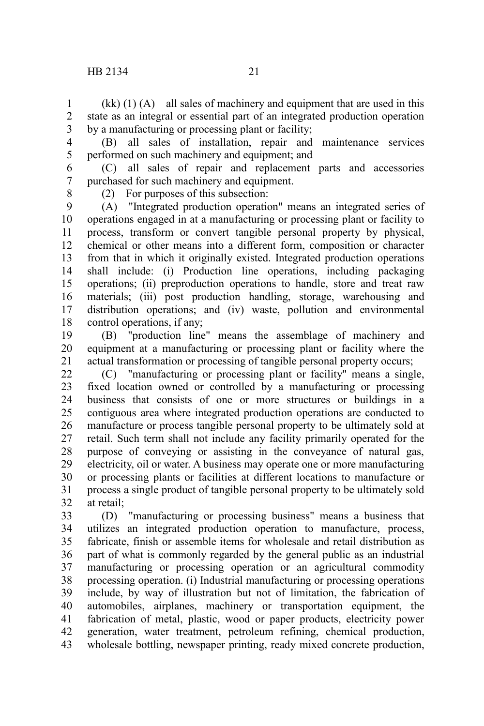$(kk)$  (1) (A) all sales of machinery and equipment that are used in this state as an integral or essential part of an integrated production operation by a manufacturing or processing plant or facility; 1 2 3

4 5

(B) all sales of installation, repair and maintenance services performed on such machinery and equipment; and

(C) all sales of repair and replacement parts and accessories purchased for such machinery and equipment. 6 7

8

(2) For purposes of this subsection:

(A) "Integrated production operation" means an integrated series of operations engaged in at a manufacturing or processing plant or facility to process, transform or convert tangible personal property by physical, chemical or other means into a different form, composition or character from that in which it originally existed. Integrated production operations shall include: (i) Production line operations, including packaging operations; (ii) preproduction operations to handle, store and treat raw materials; (iii) post production handling, storage, warehousing and distribution operations; and (iv) waste, pollution and environmental control operations, if any; 9 10 11 12 13 14 15 16 17 18

(B) "production line" means the assemblage of machinery and equipment at a manufacturing or processing plant or facility where the actual transformation or processing of tangible personal property occurs; 19 20 21

(C) "manufacturing or processing plant or facility" means a single, fixed location owned or controlled by a manufacturing or processing business that consists of one or more structures or buildings in a contiguous area where integrated production operations are conducted to manufacture or process tangible personal property to be ultimately sold at retail. Such term shall not include any facility primarily operated for the purpose of conveying or assisting in the conveyance of natural gas, electricity, oil or water. A business may operate one or more manufacturing or processing plants or facilities at different locations to manufacture or process a single product of tangible personal property to be ultimately sold at retail; 22 23 24 25 26 27 28 29 30 31 32

(D) "manufacturing or processing business" means a business that utilizes an integrated production operation to manufacture, process, fabricate, finish or assemble items for wholesale and retail distribution as part of what is commonly regarded by the general public as an industrial manufacturing or processing operation or an agricultural commodity processing operation. (i) Industrial manufacturing or processing operations include, by way of illustration but not of limitation, the fabrication of automobiles, airplanes, machinery or transportation equipment, the fabrication of metal, plastic, wood or paper products, electricity power generation, water treatment, petroleum refining, chemical production, wholesale bottling, newspaper printing, ready mixed concrete production, 33 34 35 36 37 38 39 40 41 42 43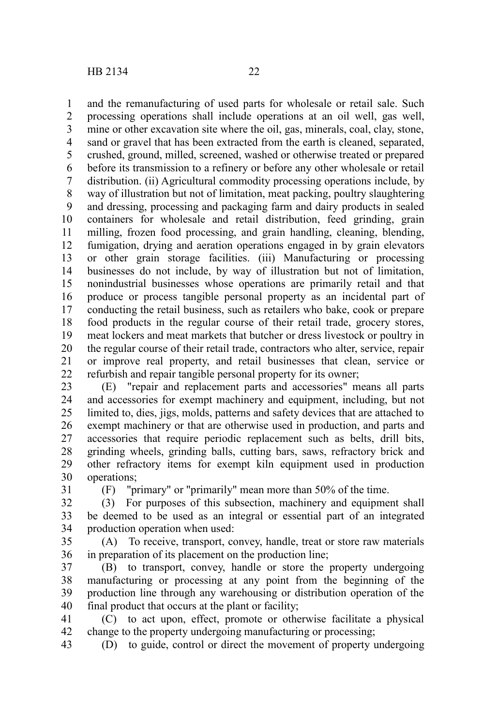and the remanufacturing of used parts for wholesale or retail sale. Such processing operations shall include operations at an oil well, gas well, mine or other excavation site where the oil, gas, minerals, coal, clay, stone, sand or gravel that has been extracted from the earth is cleaned, separated, crushed, ground, milled, screened, washed or otherwise treated or prepared before its transmission to a refinery or before any other wholesale or retail distribution. (ii) Agricultural commodity processing operations include, by way of illustration but not of limitation, meat packing, poultry slaughtering and dressing, processing and packaging farm and dairy products in sealed containers for wholesale and retail distribution, feed grinding, grain milling, frozen food processing, and grain handling, cleaning, blending, fumigation, drying and aeration operations engaged in by grain elevators or other grain storage facilities. (iii) Manufacturing or processing businesses do not include, by way of illustration but not of limitation, nonindustrial businesses whose operations are primarily retail and that produce or process tangible personal property as an incidental part of conducting the retail business, such as retailers who bake, cook or prepare food products in the regular course of their retail trade, grocery stores, meat lockers and meat markets that butcher or dress livestock or poultry in the regular course of their retail trade, contractors who alter, service, repair or improve real property, and retail businesses that clean, service or refurbish and repair tangible personal property for its owner; 1 2 3 4 5 6 7 8 9 10 11 12 13 14 15 16 17 18 19 20 21 22

(E) "repair and replacement parts and accessories" means all parts and accessories for exempt machinery and equipment, including, but not limited to, dies, jigs, molds, patterns and safety devices that are attached to exempt machinery or that are otherwise used in production, and parts and accessories that require periodic replacement such as belts, drill bits, grinding wheels, grinding balls, cutting bars, saws, refractory brick and other refractory items for exempt kiln equipment used in production operations; 23 24 25 26 27 28 29 30

31

(F) "primary" or "primarily" mean more than 50% of the time.

(3) For purposes of this subsection, machinery and equipment shall be deemed to be used as an integral or essential part of an integrated production operation when used: 32 33 34

(A) To receive, transport, convey, handle, treat or store raw materials in preparation of its placement on the production line; 35 36

(B) to transport, convey, handle or store the property undergoing manufacturing or processing at any point from the beginning of the production line through any warehousing or distribution operation of the final product that occurs at the plant or facility; 37 38 39 40

(C) to act upon, effect, promote or otherwise facilitate a physical change to the property undergoing manufacturing or processing; 41 42

(D) to guide, control or direct the movement of property undergoing 43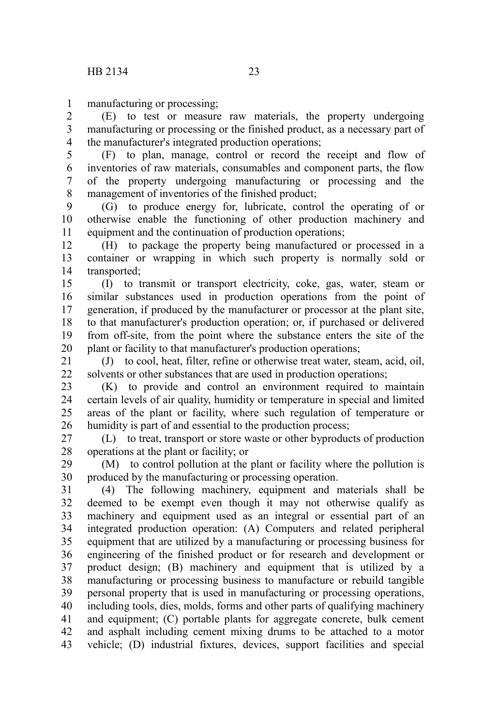manufacturing or processing; 1

(E) to test or measure raw materials, the property undergoing manufacturing or processing or the finished product, as a necessary part of the manufacturer's integrated production operations; 2 3 4

(F) to plan, manage, control or record the receipt and flow of inventories of raw materials, consumables and component parts, the flow of the property undergoing manufacturing or processing and the management of inventories of the finished product; 5 6 7 8

(G) to produce energy for, lubricate, control the operating of or otherwise enable the functioning of other production machinery and equipment and the continuation of production operations; 9 10 11

(H) to package the property being manufactured or processed in a container or wrapping in which such property is normally sold or transported; 12 13 14

(I) to transmit or transport electricity, coke, gas, water, steam or similar substances used in production operations from the point of generation, if produced by the manufacturer or processor at the plant site, to that manufacturer's production operation; or, if purchased or delivered from off-site, from the point where the substance enters the site of the plant or facility to that manufacturer's production operations; 15 16 17 18 19 20

(J) to cool, heat, filter, refine or otherwise treat water, steam, acid, oil, solvents or other substances that are used in production operations; 21 22

(K) to provide and control an environment required to maintain certain levels of air quality, humidity or temperature in special and limited areas of the plant or facility, where such regulation of temperature or humidity is part of and essential to the production process; 23 24 25 26

(L) to treat, transport or store waste or other byproducts of production operations at the plant or facility; or 27 28

(M) to control pollution at the plant or facility where the pollution is produced by the manufacturing or processing operation. 29 30

(4) The following machinery, equipment and materials shall be deemed to be exempt even though it may not otherwise qualify as machinery and equipment used as an integral or essential part of an integrated production operation: (A) Computers and related peripheral equipment that are utilized by a manufacturing or processing business for engineering of the finished product or for research and development or product design; (B) machinery and equipment that is utilized by a manufacturing or processing business to manufacture or rebuild tangible personal property that is used in manufacturing or processing operations, including tools, dies, molds, forms and other parts of qualifying machinery and equipment; (C) portable plants for aggregate concrete, bulk cement and asphalt including cement mixing drums to be attached to a motor vehicle; (D) industrial fixtures, devices, support facilities and special 31 32 33 34 35 36 37 38 39 40 41 42 43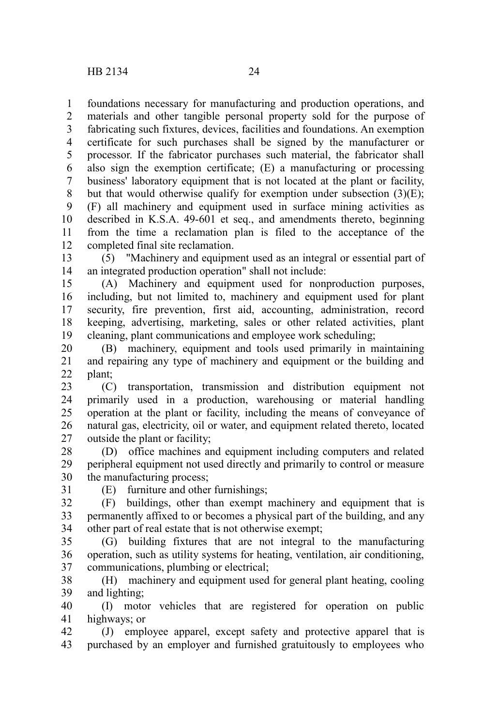foundations necessary for manufacturing and production operations, and materials and other tangible personal property sold for the purpose of fabricating such fixtures, devices, facilities and foundations. An exemption certificate for such purchases shall be signed by the manufacturer or processor. If the fabricator purchases such material, the fabricator shall also sign the exemption certificate; (E) a manufacturing or processing business' laboratory equipment that is not located at the plant or facility, but that would otherwise qualify for exemption under subsection  $(3)(E)$ ; (F) all machinery and equipment used in surface mining activities as described in K.S.A. 49-601 et seq., and amendments thereto, beginning from the time a reclamation plan is filed to the acceptance of the completed final site reclamation. 1 2 3 4 5 6 7 8 9 10 11 12

(5) "Machinery and equipment used as an integral or essential part of an integrated production operation" shall not include: 13 14

(A) Machinery and equipment used for nonproduction purposes, including, but not limited to, machinery and equipment used for plant security, fire prevention, first aid, accounting, administration, record keeping, advertising, marketing, sales or other related activities, plant cleaning, plant communications and employee work scheduling; 15 16 17 18 19

(B) machinery, equipment and tools used primarily in maintaining and repairing any type of machinery and equipment or the building and plant; 20 21 22

(C) transportation, transmission and distribution equipment not primarily used in a production, warehousing or material handling operation at the plant or facility, including the means of conveyance of natural gas, electricity, oil or water, and equipment related thereto, located outside the plant or facility; 23 24 25 26 27

(D) office machines and equipment including computers and related peripheral equipment not used directly and primarily to control or measure the manufacturing process; 28 29 30

31

(E) furniture and other furnishings;

(F) buildings, other than exempt machinery and equipment that is permanently affixed to or becomes a physical part of the building, and any other part of real estate that is not otherwise exempt; 32 33 34

(G) building fixtures that are not integral to the manufacturing operation, such as utility systems for heating, ventilation, air conditioning, communications, plumbing or electrical; 35 36 37

(H) machinery and equipment used for general plant heating, cooling and lighting; 38 39

(I) motor vehicles that are registered for operation on public highways; or 40 41

(J) employee apparel, except safety and protective apparel that is purchased by an employer and furnished gratuitously to employees who 42 43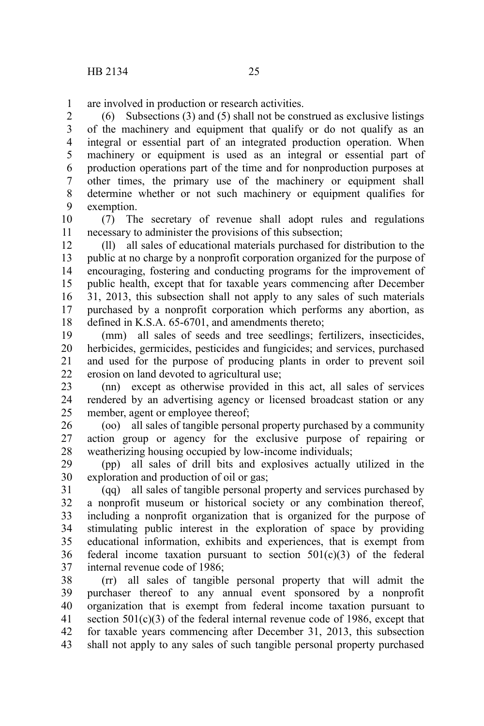are involved in production or research activities. 1

(6) Subsections (3) and (5) shall not be construed as exclusive listings of the machinery and equipment that qualify or do not qualify as an integral or essential part of an integrated production operation. When machinery or equipment is used as an integral or essential part of production operations part of the time and for nonproduction purposes at other times, the primary use of the machinery or equipment shall determine whether or not such machinery or equipment qualifies for exemption. 2 3 4 5 6 7 8 9

(7) The secretary of revenue shall adopt rules and regulations necessary to administer the provisions of this subsection; 10 11

(ll) all sales of educational materials purchased for distribution to the public at no charge by a nonprofit corporation organized for the purpose of encouraging, fostering and conducting programs for the improvement of public health, except that for taxable years commencing after December 31, 2013, this subsection shall not apply to any sales of such materials purchased by a nonprofit corporation which performs any abortion, as defined in K.S.A. 65-6701, and amendments thereto; 12 13 14 15 16 17 18

(mm) all sales of seeds and tree seedlings; fertilizers, insecticides, herbicides, germicides, pesticides and fungicides; and services, purchased and used for the purpose of producing plants in order to prevent soil erosion on land devoted to agricultural use; 19 20 21 22

(nn) except as otherwise provided in this act, all sales of services rendered by an advertising agency or licensed broadcast station or any member, agent or employee thereof; 23 24 25

(oo) all sales of tangible personal property purchased by a community action group or agency for the exclusive purpose of repairing or weatherizing housing occupied by low-income individuals; 26 27 28

(pp) all sales of drill bits and explosives actually utilized in the exploration and production of oil or gas; 29 30

(qq) all sales of tangible personal property and services purchased by a nonprofit museum or historical society or any combination thereof, including a nonprofit organization that is organized for the purpose of stimulating public interest in the exploration of space by providing educational information, exhibits and experiences, that is exempt from federal income taxation pursuant to section  $501(c)(3)$  of the federal internal revenue code of 1986; 31 32 33 34 35 36 37

(rr) all sales of tangible personal property that will admit the purchaser thereof to any annual event sponsored by a nonprofit organization that is exempt from federal income taxation pursuant to section  $501(c)(3)$  of the federal internal revenue code of 1986, except that for taxable years commencing after December 31, 2013, this subsection shall not apply to any sales of such tangible personal property purchased 38 39 40 41 42 43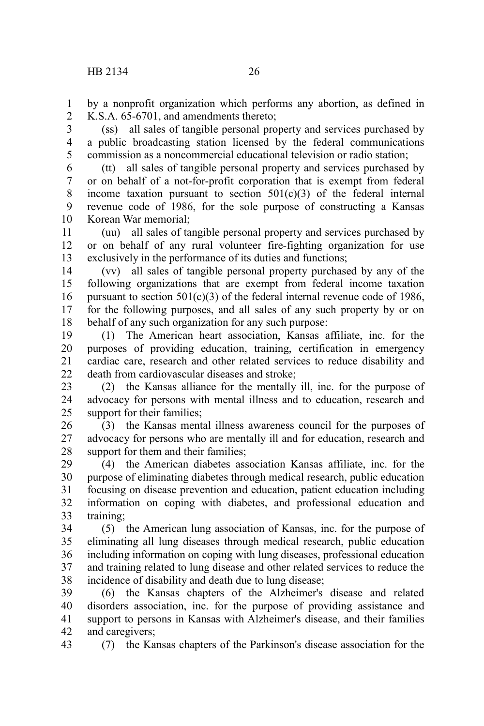by a nonprofit organization which performs any abortion, as defined in K.S.A. 65-6701, and amendments thereto; 1 2

(ss) all sales of tangible personal property and services purchased by a public broadcasting station licensed by the federal communications commission as a noncommercial educational television or radio station; 3 4 5

(tt) all sales of tangible personal property and services purchased by or on behalf of a not-for-profit corporation that is exempt from federal income taxation pursuant to section  $501(c)(3)$  of the federal internal revenue code of 1986, for the sole purpose of constructing a Kansas Korean War memorial; 6 7 8 9 10

(uu) all sales of tangible personal property and services purchased by or on behalf of any rural volunteer fire-fighting organization for use exclusively in the performance of its duties and functions; 11 12 13

(vv) all sales of tangible personal property purchased by any of the following organizations that are exempt from federal income taxation pursuant to section  $501(c)(3)$  of the federal internal revenue code of 1986, for the following purposes, and all sales of any such property by or on behalf of any such organization for any such purpose: 14 15 16 17 18

(1) The American heart association, Kansas affiliate, inc. for the purposes of providing education, training, certification in emergency cardiac care, research and other related services to reduce disability and death from cardiovascular diseases and stroke; 19 20 21  $22$ 

(2) the Kansas alliance for the mentally ill, inc. for the purpose of advocacy for persons with mental illness and to education, research and support for their families; 23 24 25

(3) the Kansas mental illness awareness council for the purposes of advocacy for persons who are mentally ill and for education, research and support for them and their families; 26 27 28

(4) the American diabetes association Kansas affiliate, inc. for the purpose of eliminating diabetes through medical research, public education focusing on disease prevention and education, patient education including information on coping with diabetes, and professional education and training; 29 30 31 32 33

(5) the American lung association of Kansas, inc. for the purpose of eliminating all lung diseases through medical research, public education including information on coping with lung diseases, professional education and training related to lung disease and other related services to reduce the incidence of disability and death due to lung disease; 34 35 36 37 38

(6) the Kansas chapters of the Alzheimer's disease and related disorders association, inc. for the purpose of providing assistance and support to persons in Kansas with Alzheimer's disease, and their families and caregivers; 39 40 41 42

(7) the Kansas chapters of the Parkinson's disease association for the 43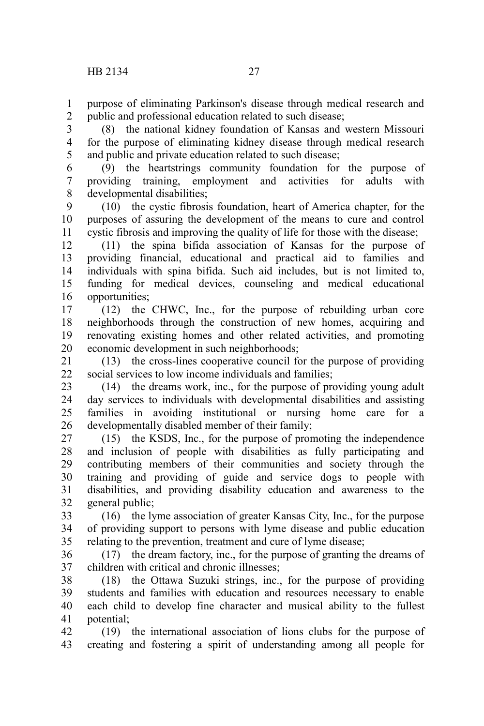purpose of eliminating Parkinson's disease through medical research and public and professional education related to such disease; 1 2

(8) the national kidney foundation of Kansas and western Missouri for the purpose of eliminating kidney disease through medical research and public and private education related to such disease; 3 4 5

(9) the heartstrings community foundation for the purpose of providing training, employment and activities for adults with developmental disabilities; 6 7 8

(10) the cystic fibrosis foundation, heart of America chapter, for the purposes of assuring the development of the means to cure and control cystic fibrosis and improving the quality of life for those with the disease; 9 10 11

(11) the spina bifida association of Kansas for the purpose of providing financial, educational and practical aid to families and individuals with spina bifida. Such aid includes, but is not limited to, funding for medical devices, counseling and medical educational opportunities; 12 13 14 15 16

(12) the CHWC, Inc., for the purpose of rebuilding urban core neighborhoods through the construction of new homes, acquiring and renovating existing homes and other related activities, and promoting economic development in such neighborhoods; 17 18 19 20

(13) the cross-lines cooperative council for the purpose of providing social services to low income individuals and families; 21 22

(14) the dreams work, inc., for the purpose of providing young adult day services to individuals with developmental disabilities and assisting families in avoiding institutional or nursing home care for a developmentally disabled member of their family; 23 24 25 26

(15) the KSDS, Inc., for the purpose of promoting the independence and inclusion of people with disabilities as fully participating and contributing members of their communities and society through the training and providing of guide and service dogs to people with disabilities, and providing disability education and awareness to the general public; 27 28 29 30 31 32

(16) the lyme association of greater Kansas City, Inc., for the purpose of providing support to persons with lyme disease and public education relating to the prevention, treatment and cure of lyme disease; 33 34 35

(17) the dream factory, inc., for the purpose of granting the dreams of children with critical and chronic illnesses; 36 37

(18) the Ottawa Suzuki strings, inc., for the purpose of providing students and families with education and resources necessary to enable each child to develop fine character and musical ability to the fullest potential; 38 39 40 41

(19) the international association of lions clubs for the purpose of creating and fostering a spirit of understanding among all people for 42 43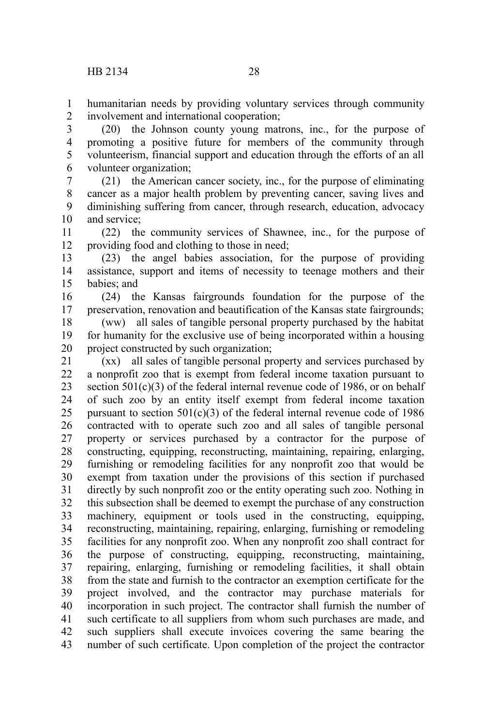humanitarian needs by providing voluntary services through community involvement and international cooperation; 1 2

(20) the Johnson county young matrons, inc., for the purpose of promoting a positive future for members of the community through volunteerism, financial support and education through the efforts of an all volunteer organization; 3 4 5 6

(21) the American cancer society, inc., for the purpose of eliminating cancer as a major health problem by preventing cancer, saving lives and diminishing suffering from cancer, through research, education, advocacy and service; 7 8 9 10

(22) the community services of Shawnee, inc., for the purpose of providing food and clothing to those in need; 11 12

(23) the angel babies association, for the purpose of providing assistance, support and items of necessity to teenage mothers and their babies; and 13 14 15

(24) the Kansas fairgrounds foundation for the purpose of the preservation, renovation and beautification of the Kansas state fairgrounds; 16 17

(ww) all sales of tangible personal property purchased by the habitat for humanity for the exclusive use of being incorporated within a housing project constructed by such organization; 18 19 20

(xx) all sales of tangible personal property and services purchased by a nonprofit zoo that is exempt from federal income taxation pursuant to section 501(c)(3) of the federal internal revenue code of 1986, or on behalf of such zoo by an entity itself exempt from federal income taxation pursuant to section  $501(c)(3)$  of the federal internal revenue code of 1986 contracted with to operate such zoo and all sales of tangible personal property or services purchased by a contractor for the purpose of constructing, equipping, reconstructing, maintaining, repairing, enlarging, furnishing or remodeling facilities for any nonprofit zoo that would be exempt from taxation under the provisions of this section if purchased directly by such nonprofit zoo or the entity operating such zoo. Nothing in this subsection shall be deemed to exempt the purchase of any construction machinery, equipment or tools used in the constructing, equipping, reconstructing, maintaining, repairing, enlarging, furnishing or remodeling facilities for any nonprofit zoo. When any nonprofit zoo shall contract for the purpose of constructing, equipping, reconstructing, maintaining, repairing, enlarging, furnishing or remodeling facilities, it shall obtain from the state and furnish to the contractor an exemption certificate for the project involved, and the contractor may purchase materials for incorporation in such project. The contractor shall furnish the number of such certificate to all suppliers from whom such purchases are made, and such suppliers shall execute invoices covering the same bearing the number of such certificate. Upon completion of the project the contractor 21 22 23 24 25 26 27 28 29 30 31 32 33 34 35 36 37 38 39 40 41 42 43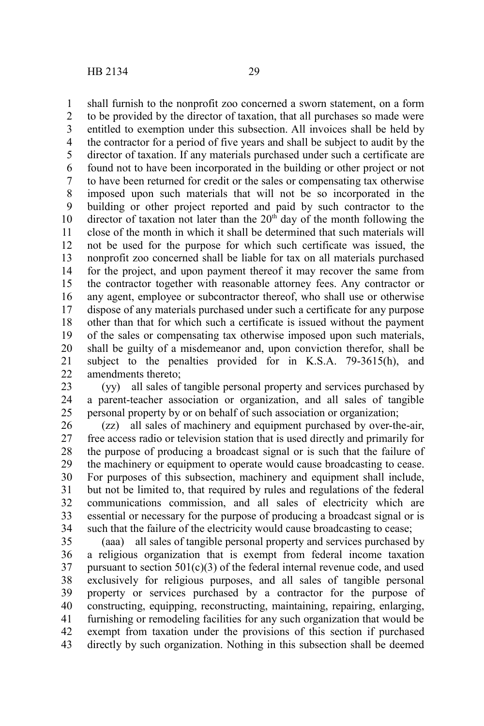shall furnish to the nonprofit zoo concerned a sworn statement, on a form to be provided by the director of taxation, that all purchases so made were entitled to exemption under this subsection. All invoices shall be held by the contractor for a period of five years and shall be subject to audit by the director of taxation. If any materials purchased under such a certificate are found not to have been incorporated in the building or other project or not to have been returned for credit or the sales or compensating tax otherwise imposed upon such materials that will not be so incorporated in the building or other project reported and paid by such contractor to the director of taxation not later than the  $20<sup>th</sup>$  day of the month following the close of the month in which it shall be determined that such materials will not be used for the purpose for which such certificate was issued, the nonprofit zoo concerned shall be liable for tax on all materials purchased for the project, and upon payment thereof it may recover the same from the contractor together with reasonable attorney fees. Any contractor or any agent, employee or subcontractor thereof, who shall use or otherwise dispose of any materials purchased under such a certificate for any purpose other than that for which such a certificate is issued without the payment of the sales or compensating tax otherwise imposed upon such materials, shall be guilty of a misdemeanor and, upon conviction therefor, shall be subject to the penalties provided for in K.S.A. 79-3615(h), and amendments thereto; 1 2 3 4 5 6 7 8 9 10 11 12 13 14 15 16 17 18 19 20 21 22

(yy) all sales of tangible personal property and services purchased by a parent-teacher association or organization, and all sales of tangible personal property by or on behalf of such association or organization; 23 24 25

(zz) all sales of machinery and equipment purchased by over-the-air, free access radio or television station that is used directly and primarily for the purpose of producing a broadcast signal or is such that the failure of the machinery or equipment to operate would cause broadcasting to cease. For purposes of this subsection, machinery and equipment shall include, but not be limited to, that required by rules and regulations of the federal communications commission, and all sales of electricity which are essential or necessary for the purpose of producing a broadcast signal or is such that the failure of the electricity would cause broadcasting to cease; 26 27 28 29 30 31 32 33 34

(aaa) all sales of tangible personal property and services purchased by a religious organization that is exempt from federal income taxation pursuant to section  $501(c)(3)$  of the federal internal revenue code, and used exclusively for religious purposes, and all sales of tangible personal property or services purchased by a contractor for the purpose of constructing, equipping, reconstructing, maintaining, repairing, enlarging, furnishing or remodeling facilities for any such organization that would be exempt from taxation under the provisions of this section if purchased directly by such organization. Nothing in this subsection shall be deemed 35 36 37 38 39 40 41 42 43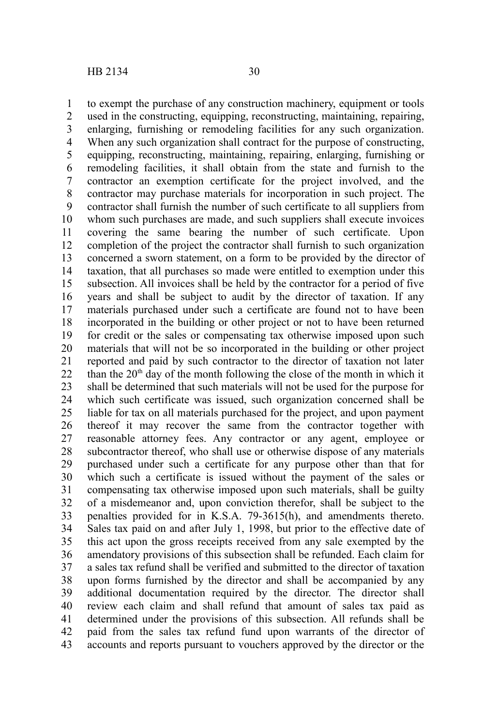1

to exempt the purchase of any construction machinery, equipment or tools

used in the constructing, equipping, reconstructing, maintaining, repairing, enlarging, furnishing or remodeling facilities for any such organization. When any such organization shall contract for the purpose of constructing, equipping, reconstructing, maintaining, repairing, enlarging, furnishing or remodeling facilities, it shall obtain from the state and furnish to the contractor an exemption certificate for the project involved, and the contractor may purchase materials for incorporation in such project. The contractor shall furnish the number of such certificate to all suppliers from whom such purchases are made, and such suppliers shall execute invoices covering the same bearing the number of such certificate. Upon completion of the project the contractor shall furnish to such organization concerned a sworn statement, on a form to be provided by the director of taxation, that all purchases so made were entitled to exemption under this subsection. All invoices shall be held by the contractor for a period of five years and shall be subject to audit by the director of taxation. If any materials purchased under such a certificate are found not to have been incorporated in the building or other project or not to have been returned for credit or the sales or compensating tax otherwise imposed upon such materials that will not be so incorporated in the building or other project reported and paid by such contractor to the director of taxation not later than the  $20<sup>th</sup>$  day of the month following the close of the month in which it shall be determined that such materials will not be used for the purpose for which such certificate was issued, such organization concerned shall be liable for tax on all materials purchased for the project, and upon payment thereof it may recover the same from the contractor together with reasonable attorney fees. Any contractor or any agent, employee or subcontractor thereof, who shall use or otherwise dispose of any materials purchased under such a certificate for any purpose other than that for which such a certificate is issued without the payment of the sales or compensating tax otherwise imposed upon such materials, shall be guilty of a misdemeanor and, upon conviction therefor, shall be subject to the penalties provided for in K.S.A. 79-3615(h), and amendments thereto. Sales tax paid on and after July 1, 1998, but prior to the effective date of this act upon the gross receipts received from any sale exempted by the amendatory provisions of this subsection shall be refunded. Each claim for a sales tax refund shall be verified and submitted to the director of taxation upon forms furnished by the director and shall be accompanied by any additional documentation required by the director. The director shall review each claim and shall refund that amount of sales tax paid as determined under the provisions of this subsection. All refunds shall be paid from the sales tax refund fund upon warrants of the director of accounts and reports pursuant to vouchers approved by the director or the 2 3 4 5 6 7 8 9 10 11 12 13 14 15 16 17 18 19 20 21 22 23 24 25 26 27 28 29 30 31 32 33 34 35 36 37 38 39 40 41 42 43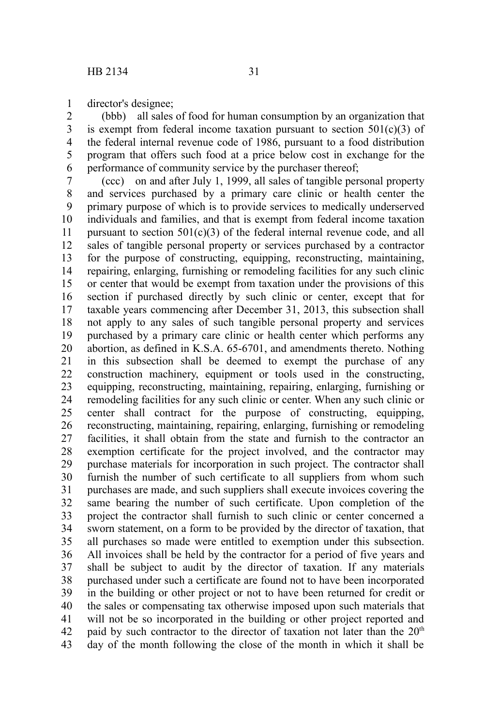director's designee; 1

(bbb) all sales of food for human consumption by an organization that is exempt from federal income taxation pursuant to section  $501(c)(3)$  of the federal internal revenue code of 1986, pursuant to a food distribution program that offers such food at a price below cost in exchange for the performance of community service by the purchaser thereof; 2 3 4 5 6

(ccc) on and after July 1, 1999, all sales of tangible personal property and services purchased by a primary care clinic or health center the primary purpose of which is to provide services to medically underserved individuals and families, and that is exempt from federal income taxation pursuant to section  $501(c)(3)$  of the federal internal revenue code, and all sales of tangible personal property or services purchased by a contractor for the purpose of constructing, equipping, reconstructing, maintaining, repairing, enlarging, furnishing or remodeling facilities for any such clinic or center that would be exempt from taxation under the provisions of this section if purchased directly by such clinic or center, except that for taxable years commencing after December 31, 2013, this subsection shall not apply to any sales of such tangible personal property and services purchased by a primary care clinic or health center which performs any abortion, as defined in K.S.A. 65-6701, and amendments thereto. Nothing in this subsection shall be deemed to exempt the purchase of any construction machinery, equipment or tools used in the constructing, equipping, reconstructing, maintaining, repairing, enlarging, furnishing or remodeling facilities for any such clinic or center. When any such clinic or center shall contract for the purpose of constructing, equipping, reconstructing, maintaining, repairing, enlarging, furnishing or remodeling facilities, it shall obtain from the state and furnish to the contractor an exemption certificate for the project involved, and the contractor may purchase materials for incorporation in such project. The contractor shall furnish the number of such certificate to all suppliers from whom such purchases are made, and such suppliers shall execute invoices covering the same bearing the number of such certificate. Upon completion of the project the contractor shall furnish to such clinic or center concerned a sworn statement, on a form to be provided by the director of taxation, that all purchases so made were entitled to exemption under this subsection. All invoices shall be held by the contractor for a period of five years and shall be subject to audit by the director of taxation. If any materials purchased under such a certificate are found not to have been incorporated in the building or other project or not to have been returned for credit or the sales or compensating tax otherwise imposed upon such materials that will not be so incorporated in the building or other project reported and paid by such contractor to the director of taxation not later than the 20<sup>th</sup> day of the month following the close of the month in which it shall be 7 8 9 10 11 12 13 14 15 16 17 18 19 20 21 22 23 24 25 26 27 28 29 30 31 32 33 34 35 36 37 38 39 40 41 42 43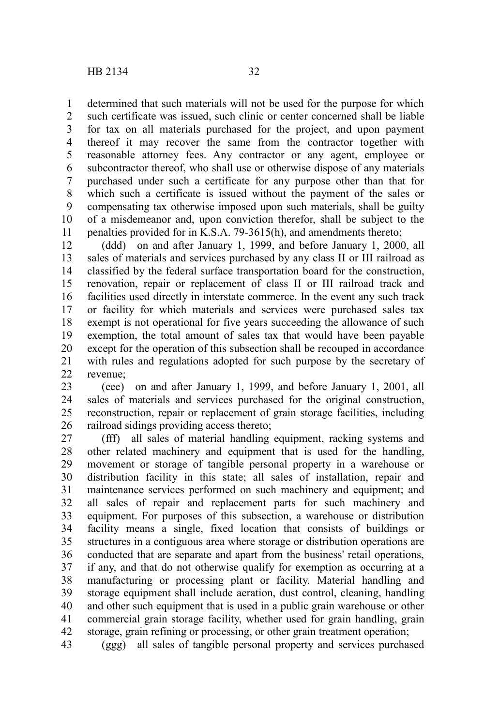determined that such materials will not be used for the purpose for which such certificate was issued, such clinic or center concerned shall be liable for tax on all materials purchased for the project, and upon payment thereof it may recover the same from the contractor together with reasonable attorney fees. Any contractor or any agent, employee or subcontractor thereof, who shall use or otherwise dispose of any materials purchased under such a certificate for any purpose other than that for which such a certificate is issued without the payment of the sales or compensating tax otherwise imposed upon such materials, shall be guilty of a misdemeanor and, upon conviction therefor, shall be subject to the penalties provided for in K.S.A. 79-3615(h), and amendments thereto; 1 2 3 4 5 6 7 8 9 10 11

(ddd) on and after January 1, 1999, and before January 1, 2000, all sales of materials and services purchased by any class II or III railroad as classified by the federal surface transportation board for the construction, renovation, repair or replacement of class II or III railroad track and facilities used directly in interstate commerce. In the event any such track or facility for which materials and services were purchased sales tax exempt is not operational for five years succeeding the allowance of such exemption, the total amount of sales tax that would have been payable except for the operation of this subsection shall be recouped in accordance with rules and regulations adopted for such purpose by the secretary of revenue; 12 13 14 15 16 17 18 19 20 21 22

(eee) on and after January 1, 1999, and before January 1, 2001, all sales of materials and services purchased for the original construction, reconstruction, repair or replacement of grain storage facilities, including railroad sidings providing access thereto; 23 24 25 26

(fff) all sales of material handling equipment, racking systems and other related machinery and equipment that is used for the handling, movement or storage of tangible personal property in a warehouse or distribution facility in this state; all sales of installation, repair and maintenance services performed on such machinery and equipment; and all sales of repair and replacement parts for such machinery and equipment. For purposes of this subsection, a warehouse or distribution facility means a single, fixed location that consists of buildings or structures in a contiguous area where storage or distribution operations are conducted that are separate and apart from the business' retail operations, if any, and that do not otherwise qualify for exemption as occurring at a manufacturing or processing plant or facility. Material handling and storage equipment shall include aeration, dust control, cleaning, handling and other such equipment that is used in a public grain warehouse or other commercial grain storage facility, whether used for grain handling, grain storage, grain refining or processing, or other grain treatment operation; 27 28 29 30 31 32 33 34 35 36 37 38 39 40 41 42

(ggg) all sales of tangible personal property and services purchased 43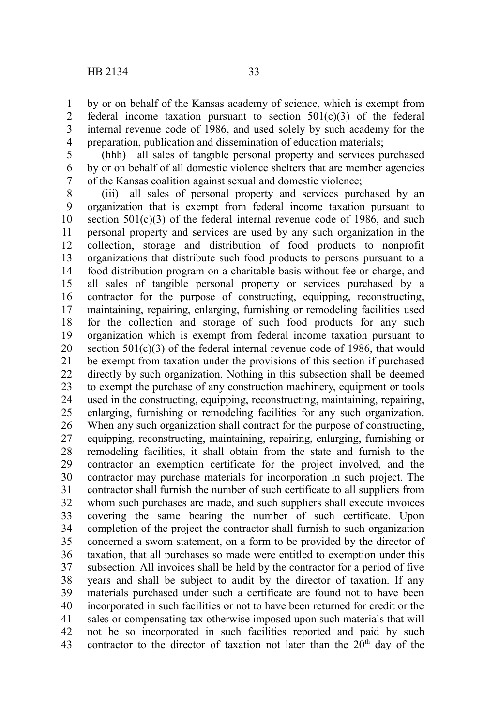by or on behalf of the Kansas academy of science, which is exempt from federal income taxation pursuant to section  $501(c)(3)$  of the federal internal revenue code of 1986, and used solely by such academy for the preparation, publication and dissemination of education materials; 1 2 3 4

(hhh) all sales of tangible personal property and services purchased by or on behalf of all domestic violence shelters that are member agencies of the Kansas coalition against sexual and domestic violence; 5 6 7

(iii) all sales of personal property and services purchased by an organization that is exempt from federal income taxation pursuant to section  $501(c)(3)$  of the federal internal revenue code of 1986, and such personal property and services are used by any such organization in the collection, storage and distribution of food products to nonprofit organizations that distribute such food products to persons pursuant to a food distribution program on a charitable basis without fee or charge, and all sales of tangible personal property or services purchased by a contractor for the purpose of constructing, equipping, reconstructing, maintaining, repairing, enlarging, furnishing or remodeling facilities used for the collection and storage of such food products for any such organization which is exempt from federal income taxation pursuant to section  $501(c)(3)$  of the federal internal revenue code of 1986, that would be exempt from taxation under the provisions of this section if purchased directly by such organization. Nothing in this subsection shall be deemed to exempt the purchase of any construction machinery, equipment or tools used in the constructing, equipping, reconstructing, maintaining, repairing, enlarging, furnishing or remodeling facilities for any such organization. When any such organization shall contract for the purpose of constructing. equipping, reconstructing, maintaining, repairing, enlarging, furnishing or remodeling facilities, it shall obtain from the state and furnish to the contractor an exemption certificate for the project involved, and the contractor may purchase materials for incorporation in such project. The contractor shall furnish the number of such certificate to all suppliers from whom such purchases are made, and such suppliers shall execute invoices covering the same bearing the number of such certificate. Upon completion of the project the contractor shall furnish to such organization concerned a sworn statement, on a form to be provided by the director of taxation, that all purchases so made were entitled to exemption under this subsection. All invoices shall be held by the contractor for a period of five years and shall be subject to audit by the director of taxation. If any materials purchased under such a certificate are found not to have been incorporated in such facilities or not to have been returned for credit or the sales or compensating tax otherwise imposed upon such materials that will not be so incorporated in such facilities reported and paid by such contractor to the director of taxation not later than the  $20<sup>th</sup>$  day of the 8 9 10 11 12 13 14 15 16 17 18 19 20 21 22 23 24 25 26 27 28 29 30 31 32 33 34 35 36 37 38 39 40 41 42 43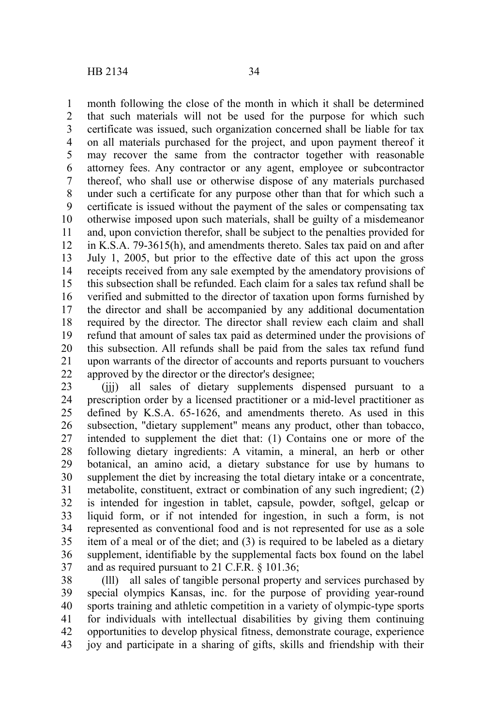month following the close of the month in which it shall be determined that such materials will not be used for the purpose for which such certificate was issued, such organization concerned shall be liable for tax on all materials purchased for the project, and upon payment thereof it may recover the same from the contractor together with reasonable attorney fees. Any contractor or any agent, employee or subcontractor thereof, who shall use or otherwise dispose of any materials purchased under such a certificate for any purpose other than that for which such a certificate is issued without the payment of the sales or compensating tax otherwise imposed upon such materials, shall be guilty of a misdemeanor and, upon conviction therefor, shall be subject to the penalties provided for in K.S.A. 79-3615(h), and amendments thereto. Sales tax paid on and after July 1, 2005, but prior to the effective date of this act upon the gross receipts received from any sale exempted by the amendatory provisions of this subsection shall be refunded. Each claim for a sales tax refund shall be verified and submitted to the director of taxation upon forms furnished by the director and shall be accompanied by any additional documentation required by the director. The director shall review each claim and shall refund that amount of sales tax paid as determined under the provisions of this subsection. All refunds shall be paid from the sales tax refund fund upon warrants of the director of accounts and reports pursuant to vouchers approved by the director or the director's designee; 1 2 3 4 5 6 7 8 9 10 11 12 13 14 15 16 17 18 19 20 21 22

(jjj) all sales of dietary supplements dispensed pursuant to a prescription order by a licensed practitioner or a mid-level practitioner as defined by K.S.A. 65-1626, and amendments thereto. As used in this subsection, "dietary supplement" means any product, other than tobacco, intended to supplement the diet that: (1) Contains one or more of the following dietary ingredients: A vitamin, a mineral, an herb or other botanical, an amino acid, a dietary substance for use by humans to supplement the diet by increasing the total dietary intake or a concentrate, metabolite, constituent, extract or combination of any such ingredient; (2) is intended for ingestion in tablet, capsule, powder, softgel, gelcap or liquid form, or if not intended for ingestion, in such a form, is not represented as conventional food and is not represented for use as a sole item of a meal or of the diet; and (3) is required to be labeled as a dietary supplement, identifiable by the supplemental facts box found on the label and as required pursuant to 21 C.F.R. § 101.36; 23 24 25 26 27 28 29 30 31 32 33 34 35 36 37

(lll) all sales of tangible personal property and services purchased by special olympics Kansas, inc. for the purpose of providing year-round sports training and athletic competition in a variety of olympic-type sports for individuals with intellectual disabilities by giving them continuing opportunities to develop physical fitness, demonstrate courage, experience joy and participate in a sharing of gifts, skills and friendship with their 38 39 40 41 42 43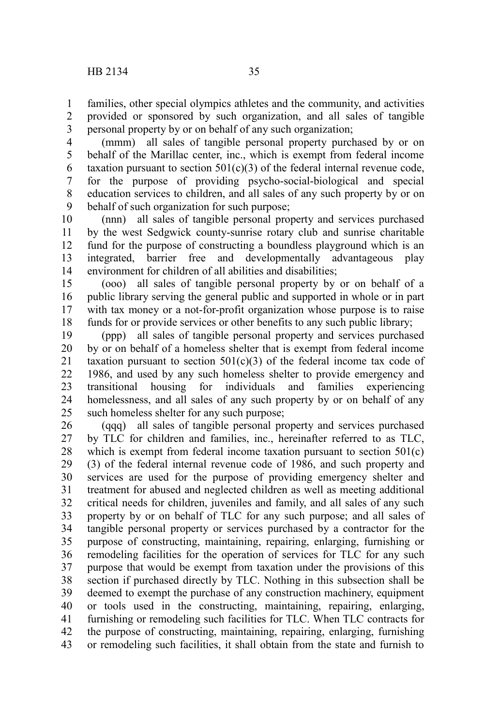families, other special olympics athletes and the community, and activities provided or sponsored by such organization, and all sales of tangible personal property by or on behalf of any such organization; 1 2 3

(mmm) all sales of tangible personal property purchased by or on behalf of the Marillac center, inc., which is exempt from federal income taxation pursuant to section  $501(c)(3)$  of the federal internal revenue code, for the purpose of providing psycho-social-biological and special education services to children, and all sales of any such property by or on behalf of such organization for such purpose; 4 5 6 7 8 9

(nnn) all sales of tangible personal property and services purchased by the west Sedgwick county-sunrise rotary club and sunrise charitable fund for the purpose of constructing a boundless playground which is an integrated, barrier free and developmentally advantageous play environment for children of all abilities and disabilities; 10 11 12 13 14

(ooo) all sales of tangible personal property by or on behalf of a public library serving the general public and supported in whole or in part with tax money or a not-for-profit organization whose purpose is to raise funds for or provide services or other benefits to any such public library; 15 16 17 18

(ppp) all sales of tangible personal property and services purchased by or on behalf of a homeless shelter that is exempt from federal income taxation pursuant to section  $501(c)(3)$  of the federal income tax code of 1986, and used by any such homeless shelter to provide emergency and transitional housing for individuals and families experiencing homelessness, and all sales of any such property by or on behalf of any such homeless shelter for any such purpose; 19 20 21 22 23 24 25

(qqq) all sales of tangible personal property and services purchased by TLC for children and families, inc., hereinafter referred to as TLC, which is exempt from federal income taxation pursuant to section 501(c) (3) of the federal internal revenue code of 1986, and such property and services are used for the purpose of providing emergency shelter and treatment for abused and neglected children as well as meeting additional critical needs for children, juveniles and family, and all sales of any such property by or on behalf of TLC for any such purpose; and all sales of tangible personal property or services purchased by a contractor for the purpose of constructing, maintaining, repairing, enlarging, furnishing or remodeling facilities for the operation of services for TLC for any such purpose that would be exempt from taxation under the provisions of this section if purchased directly by TLC. Nothing in this subsection shall be deemed to exempt the purchase of any construction machinery, equipment or tools used in the constructing, maintaining, repairing, enlarging, furnishing or remodeling such facilities for TLC. When TLC contracts for the purpose of constructing, maintaining, repairing, enlarging, furnishing or remodeling such facilities, it shall obtain from the state and furnish to 26 27 28 29 30 31 32 33 34 35 36 37 38 39 40 41 42 43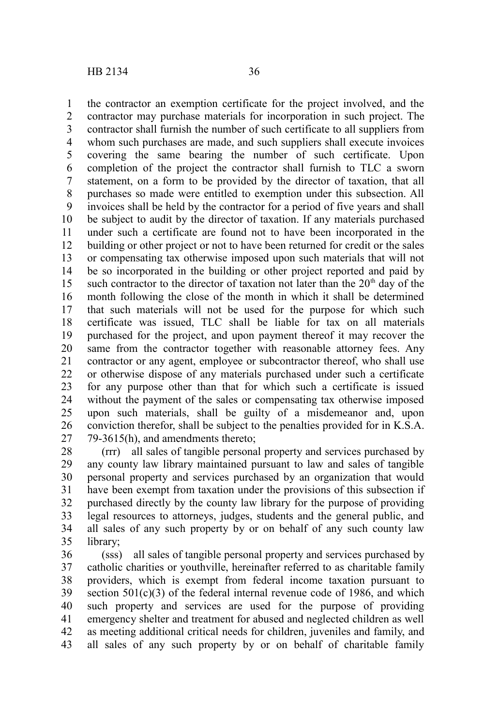the contractor an exemption certificate for the project involved, and the contractor may purchase materials for incorporation in such project. The contractor shall furnish the number of such certificate to all suppliers from whom such purchases are made, and such suppliers shall execute invoices covering the same bearing the number of such certificate. Upon completion of the project the contractor shall furnish to TLC a sworn statement, on a form to be provided by the director of taxation, that all purchases so made were entitled to exemption under this subsection. All invoices shall be held by the contractor for a period of five years and shall be subject to audit by the director of taxation. If any materials purchased under such a certificate are found not to have been incorporated in the building or other project or not to have been returned for credit or the sales or compensating tax otherwise imposed upon such materials that will not be so incorporated in the building or other project reported and paid by such contractor to the director of taxation not later than the  $20<sup>th</sup>$  day of the month following the close of the month in which it shall be determined that such materials will not be used for the purpose for which such certificate was issued, TLC shall be liable for tax on all materials purchased for the project, and upon payment thereof it may recover the same from the contractor together with reasonable attorney fees. Any contractor or any agent, employee or subcontractor thereof, who shall use or otherwise dispose of any materials purchased under such a certificate for any purpose other than that for which such a certificate is issued without the payment of the sales or compensating tax otherwise imposed upon such materials, shall be guilty of a misdemeanor and, upon conviction therefor, shall be subject to the penalties provided for in K.S.A. 79-3615(h), and amendments thereto; 1 2 3 4 5 6 7 8 9 10 11 12 13 14 15 16 17 18 19 20 21 22 23 24 25 26 27

(rrr) all sales of tangible personal property and services purchased by any county law library maintained pursuant to law and sales of tangible personal property and services purchased by an organization that would have been exempt from taxation under the provisions of this subsection if purchased directly by the county law library for the purpose of providing legal resources to attorneys, judges, students and the general public, and all sales of any such property by or on behalf of any such county law library; 28 29 30 31 32 33 34 35

(sss) all sales of tangible personal property and services purchased by catholic charities or youthville, hereinafter referred to as charitable family providers, which is exempt from federal income taxation pursuant to section  $501(c)(3)$  of the federal internal revenue code of 1986, and which such property and services are used for the purpose of providing emergency shelter and treatment for abused and neglected children as well as meeting additional critical needs for children, juveniles and family, and all sales of any such property by or on behalf of charitable family 36 37 38 39 40 41 42 43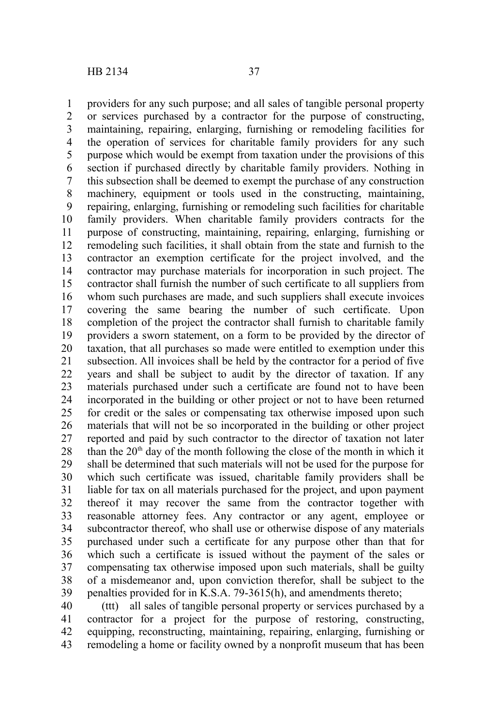providers for any such purpose; and all sales of tangible personal property or services purchased by a contractor for the purpose of constructing, maintaining, repairing, enlarging, furnishing or remodeling facilities for the operation of services for charitable family providers for any such purpose which would be exempt from taxation under the provisions of this section if purchased directly by charitable family providers. Nothing in this subsection shall be deemed to exempt the purchase of any construction machinery, equipment or tools used in the constructing, maintaining, repairing, enlarging, furnishing or remodeling such facilities for charitable family providers. When charitable family providers contracts for the purpose of constructing, maintaining, repairing, enlarging, furnishing or remodeling such facilities, it shall obtain from the state and furnish to the contractor an exemption certificate for the project involved, and the contractor may purchase materials for incorporation in such project. The contractor shall furnish the number of such certificate to all suppliers from whom such purchases are made, and such suppliers shall execute invoices covering the same bearing the number of such certificate. Upon completion of the project the contractor shall furnish to charitable family providers a sworn statement, on a form to be provided by the director of taxation, that all purchases so made were entitled to exemption under this subsection. All invoices shall be held by the contractor for a period of five years and shall be subject to audit by the director of taxation. If any materials purchased under such a certificate are found not to have been incorporated in the building or other project or not to have been returned for credit or the sales or compensating tax otherwise imposed upon such materials that will not be so incorporated in the building or other project reported and paid by such contractor to the director of taxation not later than the  $20<sup>th</sup>$  day of the month following the close of the month in which it shall be determined that such materials will not be used for the purpose for which such certificate was issued, charitable family providers shall be liable for tax on all materials purchased for the project, and upon payment thereof it may recover the same from the contractor together with reasonable attorney fees. Any contractor or any agent, employee or subcontractor thereof, who shall use or otherwise dispose of any materials purchased under such a certificate for any purpose other than that for which such a certificate is issued without the payment of the sales or compensating tax otherwise imposed upon such materials, shall be guilty of a misdemeanor and, upon conviction therefor, shall be subject to the penalties provided for in K.S.A. 79-3615(h), and amendments thereto; 1 2 3 4 5 6 7 8 9 10 11 12 13 14 15 16 17 18 19 20 21 22 23 24 25 26 27 28 29 30 31 32 33 34 35 36 37 38 39

(ttt) all sales of tangible personal property or services purchased by a contractor for a project for the purpose of restoring, constructing, equipping, reconstructing, maintaining, repairing, enlarging, furnishing or remodeling a home or facility owned by a nonprofit museum that has been 40 41 42 43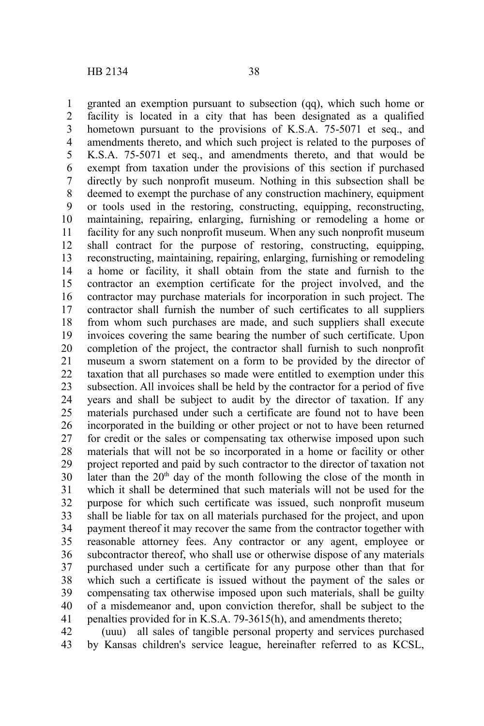granted an exemption pursuant to subsection (qq), which such home or facility is located in a city that has been designated as a qualified hometown pursuant to the provisions of K.S.A. 75-5071 et seq., and amendments thereto, and which such project is related to the purposes of K.S.A. 75-5071 et seq., and amendments thereto, and that would be exempt from taxation under the provisions of this section if purchased directly by such nonprofit museum. Nothing in this subsection shall be deemed to exempt the purchase of any construction machinery, equipment or tools used in the restoring, constructing, equipping, reconstructing, maintaining, repairing, enlarging, furnishing or remodeling a home or facility for any such nonprofit museum. When any such nonprofit museum shall contract for the purpose of restoring, constructing, equipping, reconstructing, maintaining, repairing, enlarging, furnishing or remodeling a home or facility, it shall obtain from the state and furnish to the contractor an exemption certificate for the project involved, and the contractor may purchase materials for incorporation in such project. The contractor shall furnish the number of such certificates to all suppliers from whom such purchases are made, and such suppliers shall execute invoices covering the same bearing the number of such certificate. Upon completion of the project, the contractor shall furnish to such nonprofit museum a sworn statement on a form to be provided by the director of taxation that all purchases so made were entitled to exemption under this subsection. All invoices shall be held by the contractor for a period of five years and shall be subject to audit by the director of taxation. If any materials purchased under such a certificate are found not to have been incorporated in the building or other project or not to have been returned for credit or the sales or compensating tax otherwise imposed upon such materials that will not be so incorporated in a home or facility or other project reported and paid by such contractor to the director of taxation not later than the  $20<sup>th</sup>$  day of the month following the close of the month in which it shall be determined that such materials will not be used for the purpose for which such certificate was issued, such nonprofit museum shall be liable for tax on all materials purchased for the project, and upon payment thereof it may recover the same from the contractor together with reasonable attorney fees. Any contractor or any agent, employee or subcontractor thereof, who shall use or otherwise dispose of any materials purchased under such a certificate for any purpose other than that for which such a certificate is issued without the payment of the sales or compensating tax otherwise imposed upon such materials, shall be guilty of a misdemeanor and, upon conviction therefor, shall be subject to the penalties provided for in K.S.A. 79-3615(h), and amendments thereto; 1 2 3 4 5 6 7 8 9 10 11 12 13 14 15 16 17 18 19 20 21 22 23 24 25 26 27 28 29 30 31 32 33 34 35 36 37 38 39 40 41

(uuu) all sales of tangible personal property and services purchased by Kansas children's service league, hereinafter referred to as KCSL, 42 43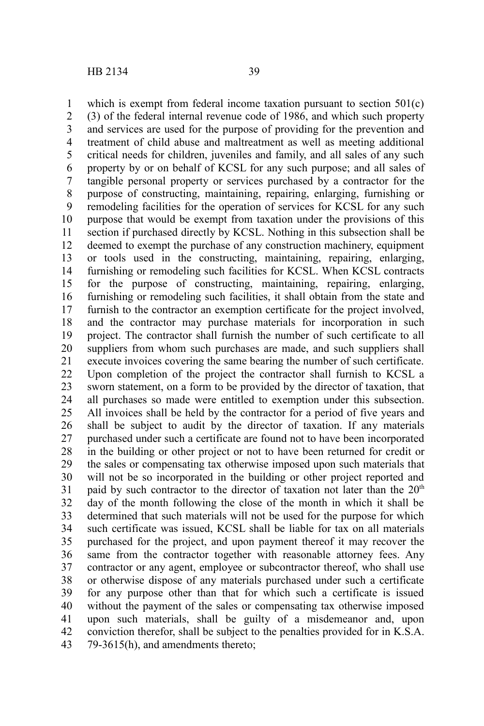which is exempt from federal income taxation pursuant to section  $501(c)$ (3) of the federal internal revenue code of 1986, and which such property and services are used for the purpose of providing for the prevention and treatment of child abuse and maltreatment as well as meeting additional critical needs for children, juveniles and family, and all sales of any such property by or on behalf of KCSL for any such purpose; and all sales of tangible personal property or services purchased by a contractor for the purpose of constructing, maintaining, repairing, enlarging, furnishing or remodeling facilities for the operation of services for KCSL for any such purpose that would be exempt from taxation under the provisions of this section if purchased directly by KCSL. Nothing in this subsection shall be deemed to exempt the purchase of any construction machinery, equipment or tools used in the constructing, maintaining, repairing, enlarging, furnishing or remodeling such facilities for KCSL. When KCSL contracts for the purpose of constructing, maintaining, repairing, enlarging, furnishing or remodeling such facilities, it shall obtain from the state and furnish to the contractor an exemption certificate for the project involved, and the contractor may purchase materials for incorporation in such project. The contractor shall furnish the number of such certificate to all suppliers from whom such purchases are made, and such suppliers shall execute invoices covering the same bearing the number of such certificate. Upon completion of the project the contractor shall furnish to KCSL a sworn statement, on a form to be provided by the director of taxation, that all purchases so made were entitled to exemption under this subsection. All invoices shall be held by the contractor for a period of five years and shall be subject to audit by the director of taxation. If any materials purchased under such a certificate are found not to have been incorporated in the building or other project or not to have been returned for credit or the sales or compensating tax otherwise imposed upon such materials that will not be so incorporated in the building or other project reported and paid by such contractor to the director of taxation not later than the  $20<sup>th</sup>$ day of the month following the close of the month in which it shall be determined that such materials will not be used for the purpose for which such certificate was issued, KCSL shall be liable for tax on all materials purchased for the project, and upon payment thereof it may recover the same from the contractor together with reasonable attorney fees. Any contractor or any agent, employee or subcontractor thereof, who shall use or otherwise dispose of any materials purchased under such a certificate for any purpose other than that for which such a certificate is issued without the payment of the sales or compensating tax otherwise imposed upon such materials, shall be guilty of a misdemeanor and, upon conviction therefor, shall be subject to the penalties provided for in K.S.A. 79-3615(h), and amendments thereto; 1 2 3 4 5 6 7 8 9 10 11 12 13 14 15 16 17 18 19 20 21 22 23 24 25 26 27 28 29 30 31 32 33 34 35 36 37 38 39 40 41 42 43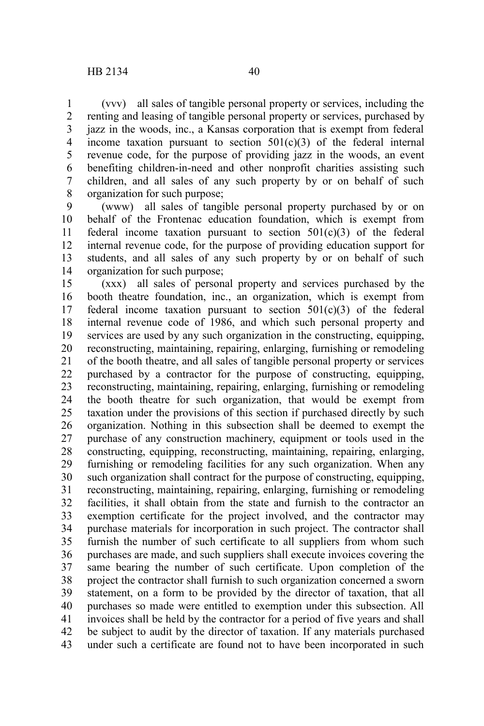(vvv) all sales of tangible personal property or services, including the renting and leasing of tangible personal property or services, purchased by jazz in the woods, inc., a Kansas corporation that is exempt from federal income taxation pursuant to section  $501(c)(3)$  of the federal internal revenue code, for the purpose of providing jazz in the woods, an event benefiting children-in-need and other nonprofit charities assisting such children, and all sales of any such property by or on behalf of such organization for such purpose; 1 2 3 4 5 6 7 8

(www) all sales of tangible personal property purchased by or on behalf of the Frontenac education foundation, which is exempt from federal income taxation pursuant to section  $501(c)(3)$  of the federal internal revenue code, for the purpose of providing education support for students, and all sales of any such property by or on behalf of such organization for such purpose; 9 10 11 12 13 14

(xxx) all sales of personal property and services purchased by the booth theatre foundation, inc., an organization, which is exempt from federal income taxation pursuant to section  $501(c)(3)$  of the federal internal revenue code of 1986, and which such personal property and services are used by any such organization in the constructing, equipping, reconstructing, maintaining, repairing, enlarging, furnishing or remodeling of the booth theatre, and all sales of tangible personal property or services purchased by a contractor for the purpose of constructing, equipping, reconstructing, maintaining, repairing, enlarging, furnishing or remodeling the booth theatre for such organization, that would be exempt from taxation under the provisions of this section if purchased directly by such organization. Nothing in this subsection shall be deemed to exempt the purchase of any construction machinery, equipment or tools used in the constructing, equipping, reconstructing, maintaining, repairing, enlarging, furnishing or remodeling facilities for any such organization. When any such organization shall contract for the purpose of constructing, equipping, reconstructing, maintaining, repairing, enlarging, furnishing or remodeling facilities, it shall obtain from the state and furnish to the contractor an exemption certificate for the project involved, and the contractor may purchase materials for incorporation in such project. The contractor shall furnish the number of such certificate to all suppliers from whom such purchases are made, and such suppliers shall execute invoices covering the same bearing the number of such certificate. Upon completion of the project the contractor shall furnish to such organization concerned a sworn statement, on a form to be provided by the director of taxation, that all purchases so made were entitled to exemption under this subsection. All invoices shall be held by the contractor for a period of five years and shall be subject to audit by the director of taxation. If any materials purchased under such a certificate are found not to have been incorporated in such 15 16 17 18 19 20 21 22 23 24 25 26 27 28 29 30 31 32 33 34 35 36 37 38 39 40 41 42 43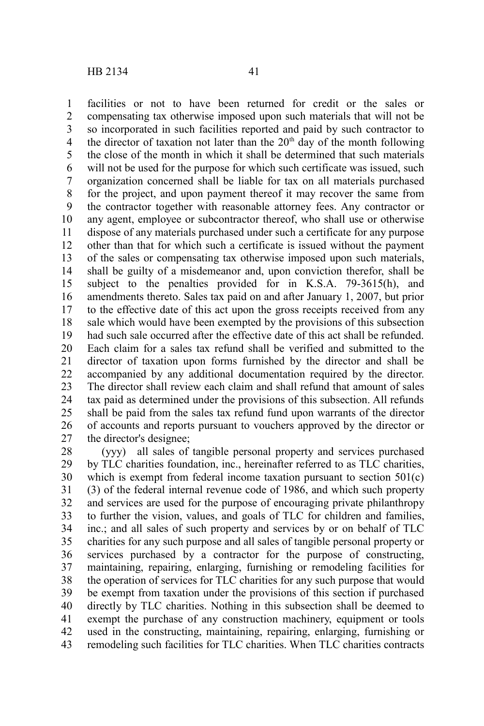facilities or not to have been returned for credit or the sales or compensating tax otherwise imposed upon such materials that will not be so incorporated in such facilities reported and paid by such contractor to the director of taxation not later than the  $20<sup>th</sup>$  day of the month following the close of the month in which it shall be determined that such materials will not be used for the purpose for which such certificate was issued, such organization concerned shall be liable for tax on all materials purchased for the project, and upon payment thereof it may recover the same from the contractor together with reasonable attorney fees. Any contractor or any agent, employee or subcontractor thereof, who shall use or otherwise dispose of any materials purchased under such a certificate for any purpose other than that for which such a certificate is issued without the payment of the sales or compensating tax otherwise imposed upon such materials, shall be guilty of a misdemeanor and, upon conviction therefor, shall be subject to the penalties provided for in K.S.A. 79-3615(h), and amendments thereto. Sales tax paid on and after January 1, 2007, but prior to the effective date of this act upon the gross receipts received from any sale which would have been exempted by the provisions of this subsection had such sale occurred after the effective date of this act shall be refunded. Each claim for a sales tax refund shall be verified and submitted to the director of taxation upon forms furnished by the director and shall be accompanied by any additional documentation required by the director. The director shall review each claim and shall refund that amount of sales tax paid as determined under the provisions of this subsection. All refunds shall be paid from the sales tax refund fund upon warrants of the director of accounts and reports pursuant to vouchers approved by the director or the director's designee; 1 2 3 4 5 6 7 8 9 10 11 12 13 14 15 16 17 18 19 20 21 22 23 24 25 26 27

(yyy) all sales of tangible personal property and services purchased by TLC charities foundation, inc., hereinafter referred to as TLC charities, which is exempt from federal income taxation pursuant to section  $501(c)$ (3) of the federal internal revenue code of 1986, and which such property and services are used for the purpose of encouraging private philanthropy to further the vision, values, and goals of TLC for children and families, inc.; and all sales of such property and services by or on behalf of TLC charities for any such purpose and all sales of tangible personal property or services purchased by a contractor for the purpose of constructing, maintaining, repairing, enlarging, furnishing or remodeling facilities for the operation of services for TLC charities for any such purpose that would be exempt from taxation under the provisions of this section if purchased directly by TLC charities. Nothing in this subsection shall be deemed to exempt the purchase of any construction machinery, equipment or tools used in the constructing, maintaining, repairing, enlarging, furnishing or remodeling such facilities for TLC charities. When TLC charities contracts 28 29 30 31 32 33 34 35 36 37 38 39 40 41 42 43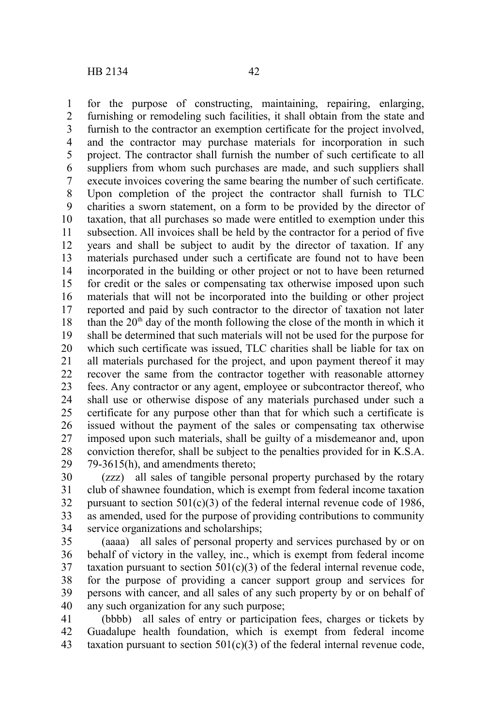for the purpose of constructing, maintaining, repairing, enlarging, furnishing or remodeling such facilities, it shall obtain from the state and furnish to the contractor an exemption certificate for the project involved, and the contractor may purchase materials for incorporation in such project. The contractor shall furnish the number of such certificate to all suppliers from whom such purchases are made, and such suppliers shall execute invoices covering the same bearing the number of such certificate. Upon completion of the project the contractor shall furnish to TLC charities a sworn statement, on a form to be provided by the director of taxation, that all purchases so made were entitled to exemption under this subsection. All invoices shall be held by the contractor for a period of five years and shall be subject to audit by the director of taxation. If any materials purchased under such a certificate are found not to have been incorporated in the building or other project or not to have been returned for credit or the sales or compensating tax otherwise imposed upon such materials that will not be incorporated into the building or other project reported and paid by such contractor to the director of taxation not later than the  $20<sup>th</sup>$  day of the month following the close of the month in which it shall be determined that such materials will not be used for the purpose for which such certificate was issued. TLC charities shall be liable for tax on all materials purchased for the project, and upon payment thereof it may recover the same from the contractor together with reasonable attorney fees. Any contractor or any agent, employee or subcontractor thereof, who shall use or otherwise dispose of any materials purchased under such a certificate for any purpose other than that for which such a certificate is issued without the payment of the sales or compensating tax otherwise imposed upon such materials, shall be guilty of a misdemeanor and, upon conviction therefor, shall be subject to the penalties provided for in K.S.A. 79-3615(h), and amendments thereto; 1 2 3 4 5 6 7 8 9 10 11 12 13 14 15 16 17 18 19 20 21 22 23 24 25 26 27 28 29

(zzz) all sales of tangible personal property purchased by the rotary club of shawnee foundation, which is exempt from federal income taxation pursuant to section  $501(c)(3)$  of the federal internal revenue code of 1986, as amended, used for the purpose of providing contributions to community service organizations and scholarships; 30 31 32 33 34

(aaaa) all sales of personal property and services purchased by or on behalf of victory in the valley, inc., which is exempt from federal income taxation pursuant to section  $501(c)(3)$  of the federal internal revenue code, for the purpose of providing a cancer support group and services for persons with cancer, and all sales of any such property by or on behalf of any such organization for any such purpose; 35 36 37 38 39 40

(bbbb) all sales of entry or participation fees, charges or tickets by Guadalupe health foundation, which is exempt from federal income taxation pursuant to section  $501(c)(3)$  of the federal internal revenue code, 41 42 43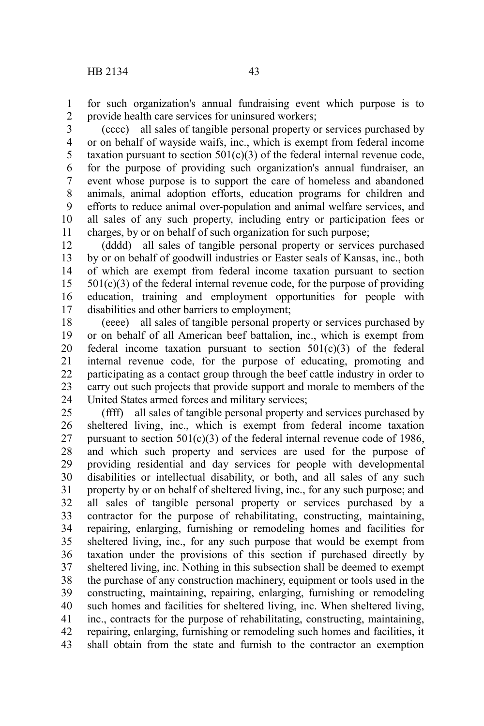for such organization's annual fundraising event which purpose is to provide health care services for uninsured workers; 1 2

(cccc) all sales of tangible personal property or services purchased by or on behalf of wayside waifs, inc., which is exempt from federal income taxation pursuant to section  $501(c)(3)$  of the federal internal revenue code, for the purpose of providing such organization's annual fundraiser, an event whose purpose is to support the care of homeless and abandoned animals, animal adoption efforts, education programs for children and efforts to reduce animal over-population and animal welfare services, and all sales of any such property, including entry or participation fees or charges, by or on behalf of such organization for such purpose; 3 4 5 6 7 8 9 10 11

(dddd) all sales of tangible personal property or services purchased by or on behalf of goodwill industries or Easter seals of Kansas, inc., both of which are exempt from federal income taxation pursuant to section  $501(c)(3)$  of the federal internal revenue code, for the purpose of providing education, training and employment opportunities for people with disabilities and other barriers to employment; 12 13 14 15 16 17

(eeee) all sales of tangible personal property or services purchased by or on behalf of all American beef battalion, inc., which is exempt from federal income taxation pursuant to section  $501(c)(3)$  of the federal internal revenue code, for the purpose of educating, promoting and participating as a contact group through the beef cattle industry in order to carry out such projects that provide support and morale to members of the United States armed forces and military services; 18 19 20 21 22 23 24

(ffff) all sales of tangible personal property and services purchased by sheltered living, inc., which is exempt from federal income taxation pursuant to section  $501(c)(3)$  of the federal internal revenue code of 1986, and which such property and services are used for the purpose of providing residential and day services for people with developmental disabilities or intellectual disability, or both, and all sales of any such property by or on behalf of sheltered living, inc., for any such purpose; and all sales of tangible personal property or services purchased by a contractor for the purpose of rehabilitating, constructing, maintaining, repairing, enlarging, furnishing or remodeling homes and facilities for sheltered living, inc., for any such purpose that would be exempt from taxation under the provisions of this section if purchased directly by sheltered living, inc. Nothing in this subsection shall be deemed to exempt the purchase of any construction machinery, equipment or tools used in the constructing, maintaining, repairing, enlarging, furnishing or remodeling such homes and facilities for sheltered living, inc. When sheltered living, inc., contracts for the purpose of rehabilitating, constructing, maintaining, repairing, enlarging, furnishing or remodeling such homes and facilities, it shall obtain from the state and furnish to the contractor an exemption 25 26 27 28 29 30 31 32 33 34 35 36 37 38 39 40 41 42 43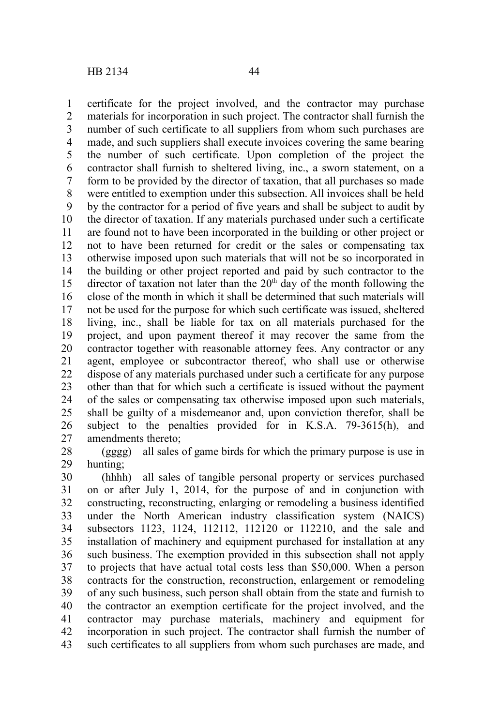certificate for the project involved, and the contractor may purchase materials for incorporation in such project. The contractor shall furnish the number of such certificate to all suppliers from whom such purchases are made, and such suppliers shall execute invoices covering the same bearing the number of such certificate. Upon completion of the project the contractor shall furnish to sheltered living, inc., a sworn statement, on a form to be provided by the director of taxation, that all purchases so made

were entitled to exemption under this subsection. All invoices shall be held by the contractor for a period of five years and shall be subject to audit by the director of taxation. If any materials purchased under such a certificate are found not to have been incorporated in the building or other project or not to have been returned for credit or the sales or compensating tax otherwise imposed upon such materials that will not be so incorporated in the building or other project reported and paid by such contractor to the director of taxation not later than the  $20<sup>th</sup>$  day of the month following the close of the month in which it shall be determined that such materials will not be used for the purpose for which such certificate was issued, sheltered living, inc., shall be liable for tax on all materials purchased for the project, and upon payment thereof it may recover the same from the contractor together with reasonable attorney fees. Any contractor or any agent, employee or subcontractor thereof, who shall use or otherwise dispose of any materials purchased under such a certificate for any purpose other than that for which such a certificate is issued without the payment of the sales or compensating tax otherwise imposed upon such materials, shall be guilty of a misdemeanor and, upon conviction therefor, shall be subject to the penalties provided for in K.S.A. 79-3615(h), and amendments thereto; 7 8 9 10 11 12 13 14 15 16 17 18 19 20 21 22 23 24 25 26 27

(gggg) all sales of game birds for which the primary purpose is use in hunting; 28 29

(hhhh) all sales of tangible personal property or services purchased on or after July 1, 2014, for the purpose of and in conjunction with constructing, reconstructing, enlarging or remodeling a business identified under the North American industry classification system (NAICS) subsectors 1123, 1124, 112112, 112120 or 112210, and the sale and installation of machinery and equipment purchased for installation at any such business. The exemption provided in this subsection shall not apply to projects that have actual total costs less than \$50,000. When a person contracts for the construction, reconstruction, enlargement or remodeling of any such business, such person shall obtain from the state and furnish to the contractor an exemption certificate for the project involved, and the contractor may purchase materials, machinery and equipment for incorporation in such project. The contractor shall furnish the number of such certificates to all suppliers from whom such purchases are made, and 30 31 32 33 34 35 36 37 38 39 40 41 42 43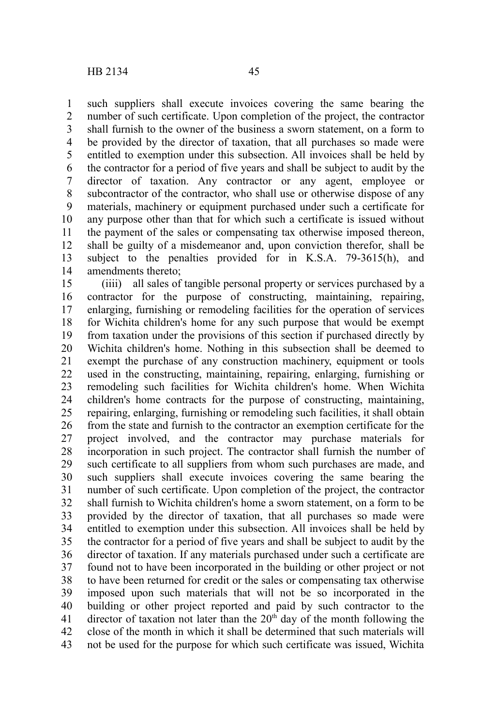such suppliers shall execute invoices covering the same bearing the number of such certificate. Upon completion of the project, the contractor shall furnish to the owner of the business a sworn statement, on a form to be provided by the director of taxation, that all purchases so made were entitled to exemption under this subsection. All invoices shall be held by the contractor for a period of five years and shall be subject to audit by the director of taxation. Any contractor or any agent, employee or subcontractor of the contractor, who shall use or otherwise dispose of any materials, machinery or equipment purchased under such a certificate for any purpose other than that for which such a certificate is issued without the payment of the sales or compensating tax otherwise imposed thereon, shall be guilty of a misdemeanor and, upon conviction therefor, shall be subject to the penalties provided for in K.S.A. 79-3615(h), and amendments thereto; 1 2 3 4 5 6 7 8 9 10 11 12 13 14

(iiii) all sales of tangible personal property or services purchased by a contractor for the purpose of constructing, maintaining, repairing, enlarging, furnishing or remodeling facilities for the operation of services for Wichita children's home for any such purpose that would be exempt from taxation under the provisions of this section if purchased directly by Wichita children's home. Nothing in this subsection shall be deemed to exempt the purchase of any construction machinery, equipment or tools used in the constructing, maintaining, repairing, enlarging, furnishing or remodeling such facilities for Wichita children's home. When Wichita children's home contracts for the purpose of constructing, maintaining, repairing, enlarging, furnishing or remodeling such facilities, it shall obtain from the state and furnish to the contractor an exemption certificate for the project involved, and the contractor may purchase materials for incorporation in such project. The contractor shall furnish the number of such certificate to all suppliers from whom such purchases are made, and such suppliers shall execute invoices covering the same bearing the number of such certificate. Upon completion of the project, the contractor shall furnish to Wichita children's home a sworn statement, on a form to be provided by the director of taxation, that all purchases so made were entitled to exemption under this subsection. All invoices shall be held by the contractor for a period of five years and shall be subject to audit by the director of taxation. If any materials purchased under such a certificate are found not to have been incorporated in the building or other project or not to have been returned for credit or the sales or compensating tax otherwise imposed upon such materials that will not be so incorporated in the building or other project reported and paid by such contractor to the director of taxation not later than the  $20<sup>th</sup>$  day of the month following the close of the month in which it shall be determined that such materials will not be used for the purpose for which such certificate was issued, Wichita 15 16 17 18 19 20 21 22 23 24 25 26 27 28 29 30 31 32 33 34 35 36 37 38 39 40 41 42 43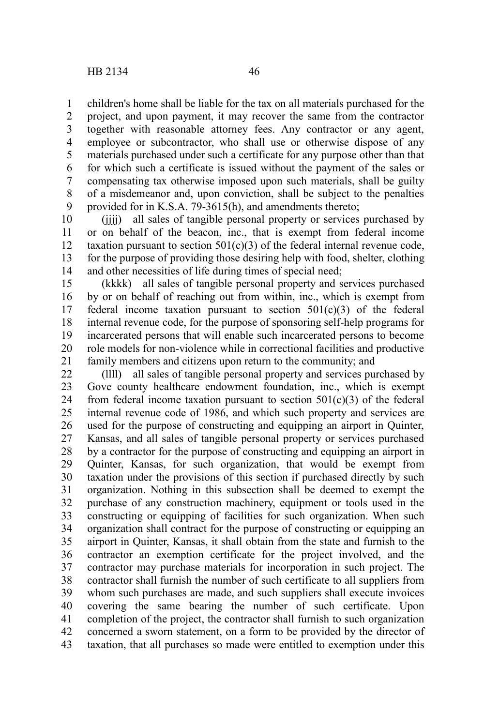children's home shall be liable for the tax on all materials purchased for the project, and upon payment, it may recover the same from the contractor together with reasonable attorney fees. Any contractor or any agent, employee or subcontractor, who shall use or otherwise dispose of any materials purchased under such a certificate for any purpose other than that for which such a certificate is issued without the payment of the sales or compensating tax otherwise imposed upon such materials, shall be guilty of a misdemeanor and, upon conviction, shall be subject to the penalties provided for in K.S.A. 79-3615(h), and amendments thereto; 1 2 3 4 5 6 7 8 9

(jjjj) all sales of tangible personal property or services purchased by or on behalf of the beacon, inc., that is exempt from federal income taxation pursuant to section  $501(c)(3)$  of the federal internal revenue code, for the purpose of providing those desiring help with food, shelter, clothing and other necessities of life during times of special need; 10 11 12 13 14

(kkkk) all sales of tangible personal property and services purchased by or on behalf of reaching out from within, inc., which is exempt from federal income taxation pursuant to section  $501(c)(3)$  of the federal internal revenue code, for the purpose of sponsoring self-help programs for incarcerated persons that will enable such incarcerated persons to become role models for non-violence while in correctional facilities and productive family members and citizens upon return to the community; and 15 16 17 18 19 20 21

(llll) all sales of tangible personal property and services purchased by Gove county healthcare endowment foundation, inc., which is exempt from federal income taxation pursuant to section  $501(c)(3)$  of the federal internal revenue code of 1986, and which such property and services are used for the purpose of constructing and equipping an airport in Quinter, Kansas, and all sales of tangible personal property or services purchased by a contractor for the purpose of constructing and equipping an airport in Quinter, Kansas, for such organization, that would be exempt from taxation under the provisions of this section if purchased directly by such organization. Nothing in this subsection shall be deemed to exempt the purchase of any construction machinery, equipment or tools used in the constructing or equipping of facilities for such organization. When such organization shall contract for the purpose of constructing or equipping an airport in Quinter, Kansas, it shall obtain from the state and furnish to the contractor an exemption certificate for the project involved, and the contractor may purchase materials for incorporation in such project. The contractor shall furnish the number of such certificate to all suppliers from whom such purchases are made, and such suppliers shall execute invoices covering the same bearing the number of such certificate. Upon completion of the project, the contractor shall furnish to such organization concerned a sworn statement, on a form to be provided by the director of taxation, that all purchases so made were entitled to exemption under this 22 23 24 25 26 27 28 29 30 31 32 33 34 35 36 37 38 39 40 41 42 43